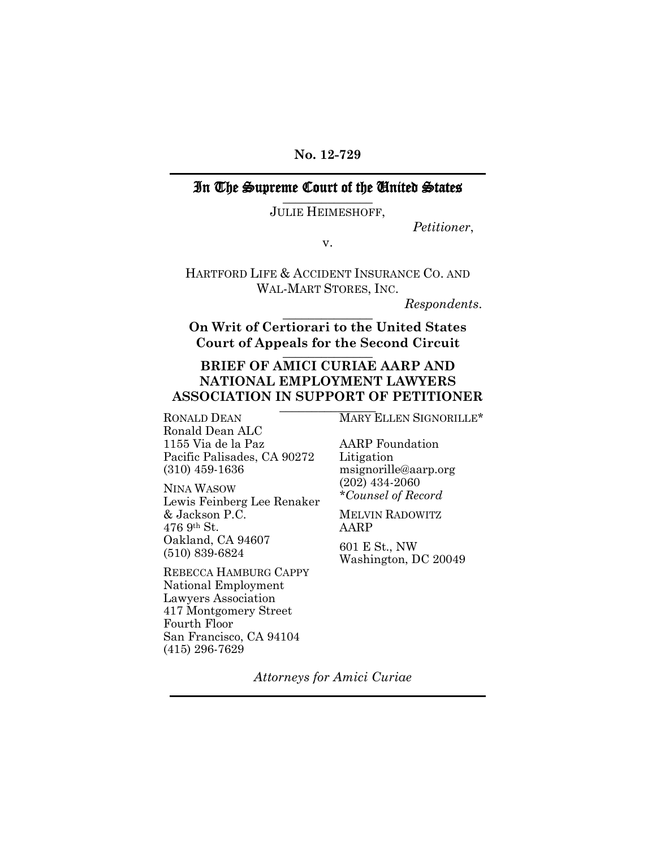#### **No. 12-729**

#### In The Supreme Court of the United States \_\_\_\_\_\_\_\_\_\_\_\_\_\_

JULIE HEIMESHOFF,

*Petitioner*,

v.

HARTFORD LIFE & ACCIDENT INSURANCE CO. AND WAL-MART STORES, INC.

*Respondents*. \_\_\_\_\_\_\_\_\_\_\_\_\_\_

**On Writ of Certiorari to the United States Court of Appeals for the Second Circuit** \_\_\_\_\_\_\_\_\_\_\_\_\_\_

# **BRIEF OF AMICI CURIAE AARP AND NATIONAL EMPLOYMENT LAWYERS ASSOCIATION IN SUPPORT OF PETITIONER**<br>RONALD DEAN **LEARALD DEAN**

Ronald Dean ALC 1155 Via de la Paz Pacific Palisades, CA 90272 (310) 459-1636

NINA WASOW Lewis Feinberg Lee Renaker & Jackson P.C. 476 9th St. Oakland, CA 94607 (510) 839-6824

REBECCA HAMBURG CAPPY National Employment Lawyers Association 417 Montgomery Street Fourth Floor San Francisco, CA 94104 (415) 296-7629

MARY ELLEN SIGNORILLE\*

AARP Foundation Litigation msignorille@aarp.org (202) 434-2060 *\*Counsel of Record*

MELVIN RADOWITZ AARP

601 E St., NW Washington, DC 20049

*Attorneys for Amici Curiae*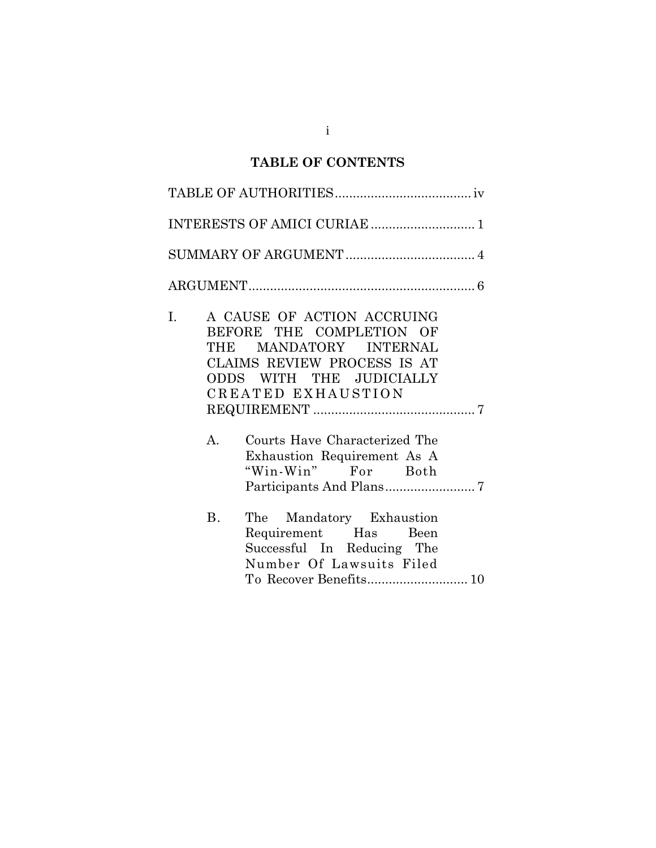# **TABLE OF CONTENTS**

| I.<br>А. | A CAUSE OF ACTION ACCRUING<br>BEFORE THE COMPLETION OF<br>THE MANDATORY INTERNAL<br>CLAIMS REVIEW PROCESS IS AT<br>ODDS WITH THE JUDICIALLY<br>CREATED EXHAUSTION<br>Courts Have Characterized The<br>Exhaustion Requirement As A<br>"Win-Win" For Both |
|----------|---------------------------------------------------------------------------------------------------------------------------------------------------------------------------------------------------------------------------------------------------------|
| Β.       | The Mandatory Exhaustion<br>Requirement Has<br>Been<br>Successful In Reducing The<br>Number Of Lawsuits Filed<br>To Recover Benefits 10                                                                                                                 |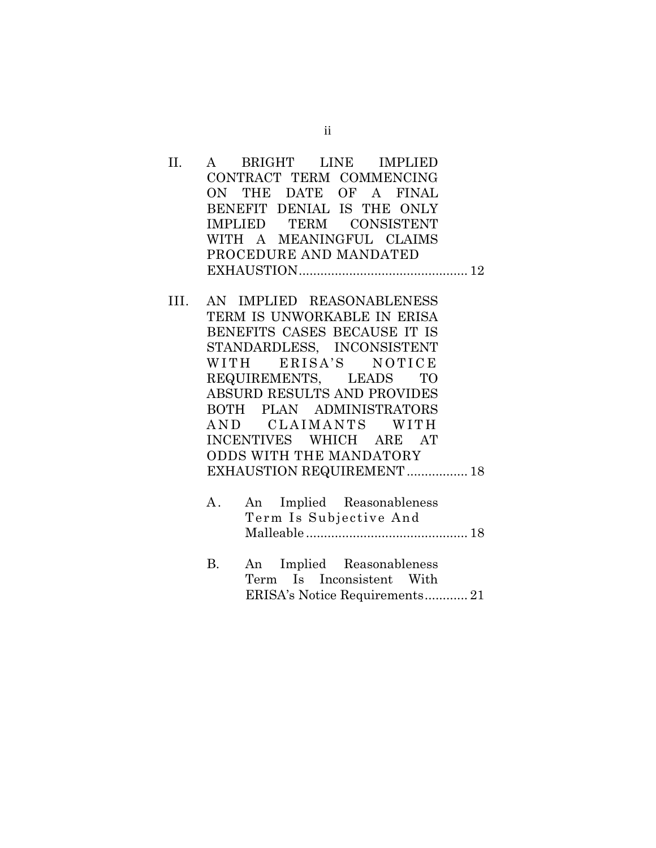- II. A BRIGHT LINE IMPLIED CONTRACT TERM COMMENCING ON THE DATE OF A FINAL BENEFIT DENIAL IS THE ONLY IMPLIED TERM CONSISTENT WITH A MEANINGFUL CLAIMS PROCEDURE AND MANDATED EXHAUSTION............................................... 12
- III. AN IMPLIED REASONABLENESS TERM IS UNWORKABLE IN ERISA BENEFITS CASES BECAUSE IT IS STANDARDLESS, INCONSISTENT WITH ERISA'S NOTICE REQUIREMENTS, LEADS TO ABSURD RESULTS AND PROVIDES BOTH PLAN ADMINISTRATORS AND CLAIMANTS WITH INCENTIVES WHICH ARE AT ODDS WITH THE MANDATORY EXHAUSTION REQUIREMENT.................. 18
	- A. An Implied Reasonableness Term Is Subjective And Malleable ............................................. 18
	- B. An Implied Reasonableness Term Is Inconsistent With ERISA's Notice Requirements............ 21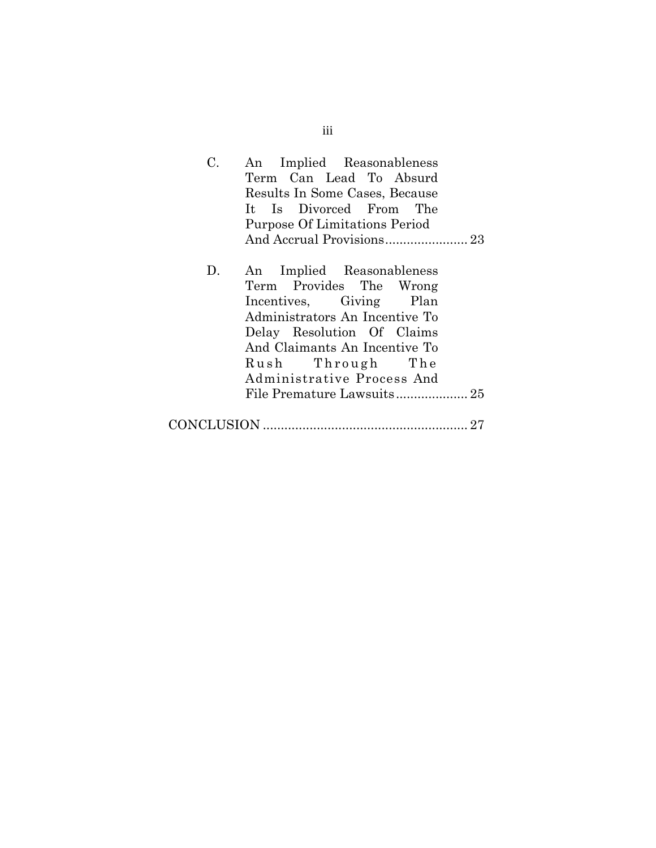| C. | An Implied Reasonableness                            |  |  |  |  |  |
|----|------------------------------------------------------|--|--|--|--|--|
|    | Term Can Lead To Absurd                              |  |  |  |  |  |
|    | Results In Some Cases, Because                       |  |  |  |  |  |
|    | It Is Divorced From The                              |  |  |  |  |  |
|    | Purpose Of Limitations Period                        |  |  |  |  |  |
|    |                                                      |  |  |  |  |  |
| D. | An Implied Reasonableness<br>Term Provides The Wrong |  |  |  |  |  |
|    | Incentives, Giving Plan                              |  |  |  |  |  |
|    | Administrators An Incentive To                       |  |  |  |  |  |
|    | Delay Resolution Of Claims                           |  |  |  |  |  |
|    | And Claimants An Incentive To                        |  |  |  |  |  |
|    | Rush Through The                                     |  |  |  |  |  |
|    | Administrative Process And                           |  |  |  |  |  |
|    |                                                      |  |  |  |  |  |
|    | 27                                                   |  |  |  |  |  |

iii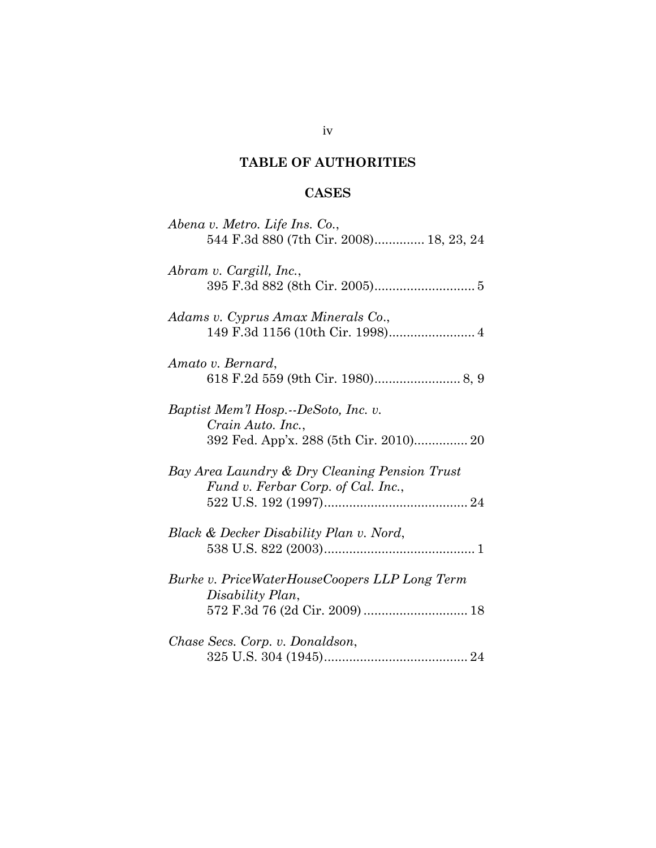# **TABLE OF AUTHORITIES**

# **CASES**

| Abena v. Metro. Life Ins. Co.,<br>544 F.3d 880 (7th Cir. 2008) 18, 23, 24                           |
|-----------------------------------------------------------------------------------------------------|
| Abram v. Cargill, Inc.,                                                                             |
| Adams v. Cyprus Amax Minerals Co.,                                                                  |
| Amato v. Bernard,                                                                                   |
| Baptist Mem'l Hosp.--DeSoto, Inc. v.<br>Crain Auto. Inc.,<br>392 Fed. App'x. 288 (5th Cir. 2010) 20 |
| Bay Area Laundry & Dry Cleaning Pension Trust<br>Fund v. Ferbar Corp. of Cal. Inc.,                 |
| Black & Decker Disability Plan v. Nord,                                                             |
| Burke v. PriceWaterHouseCoopers LLP Long Term<br>Disability Plan,<br>572 F.3d 76 (2d Cir. 2009)  18 |
| Chase Secs. Corp. v. Donaldson,                                                                     |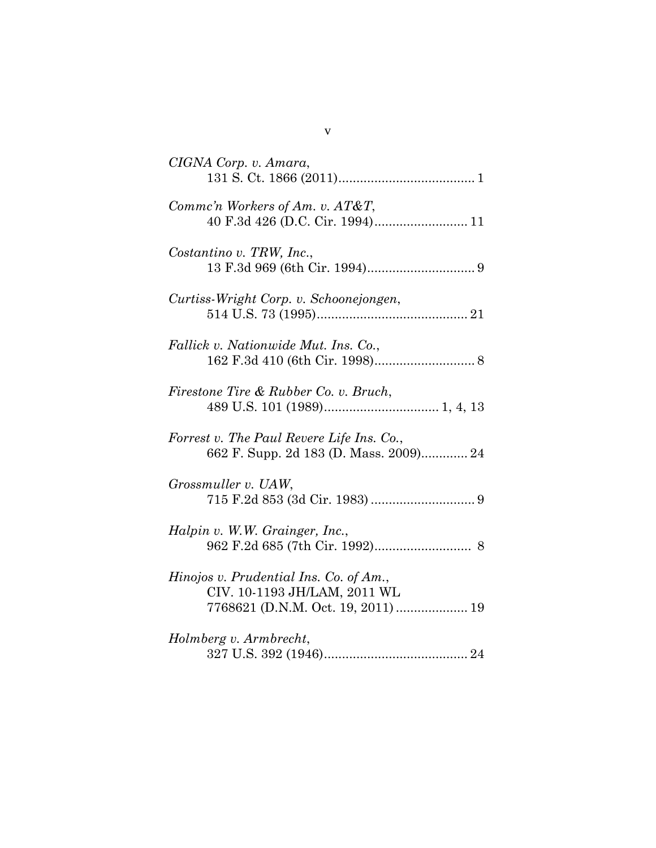| CIGNA Corp. v. Amara,                                                                                        |
|--------------------------------------------------------------------------------------------------------------|
| Commc'n Workers of Am. v. AT&T,<br>40 F.3d 426 (D.C. Cir. 1994) 11                                           |
| Costantino v. TRW, Inc.,                                                                                     |
| Curtiss-Wright Corp. v. Schoonejongen,                                                                       |
| Fallick v. Nationwide Mut. Ins. Co.,                                                                         |
| Firestone Tire & Rubber Co. v. Bruch,                                                                        |
| Forrest v. The Paul Revere Life Ins. Co.,<br>662 F. Supp. 2d 183 (D. Mass. 2009) 24                          |
| Grossmuller v. UAW,                                                                                          |
| Halpin v. W.W. Grainger, Inc.,                                                                               |
| Hinojos v. Prudential Ins. Co. of Am.,<br>CIV. 10-1193 JH/LAM, 2011 WL<br>7768621 (D.N.M. Oct. 19, 2011)  19 |
| Holmberg v. Armbrecht,                                                                                       |

v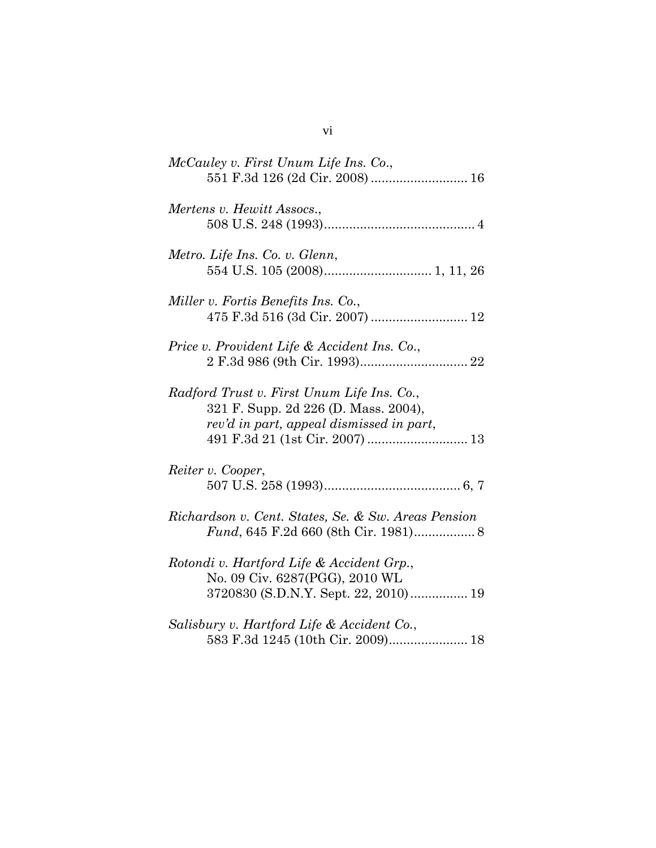| McCauley v. First Unum Life Ins. Co.,<br>551 F.3d 126 (2d Cir. 2008)  16                                                       |
|--------------------------------------------------------------------------------------------------------------------------------|
| Mertens v. Hewitt Assocs.,                                                                                                     |
| Metro. Life Ins. Co. v. Glenn,                                                                                                 |
| Miller v. Fortis Benefits Ins. Co.,<br>475 F.3d 516 (3d Cir. 2007)  12                                                         |
| Price v. Provident Life & Accident Ins. Co.,                                                                                   |
| Radford Trust v. First Unum Life Ins. Co.,<br>321 F. Supp. 2d 226 (D. Mass. 2004),<br>rev'd in part, appeal dismissed in part, |
| Reiter v. Cooper,                                                                                                              |
| Richardson v. Cent. States, Se. & Sw. Areas Pension<br>Fund, 645 F.2d 660 (8th Cir. 1981) 8                                    |
| Rotondi v. Hartford Life & Accident Grp.,<br>No. 09 Civ. 6287(PGG), 2010 WL                                                    |
| Salisbury v. Hartford Life & Accident Co.,<br>583 F.3d 1245 (10th Cir. 2009) 18                                                |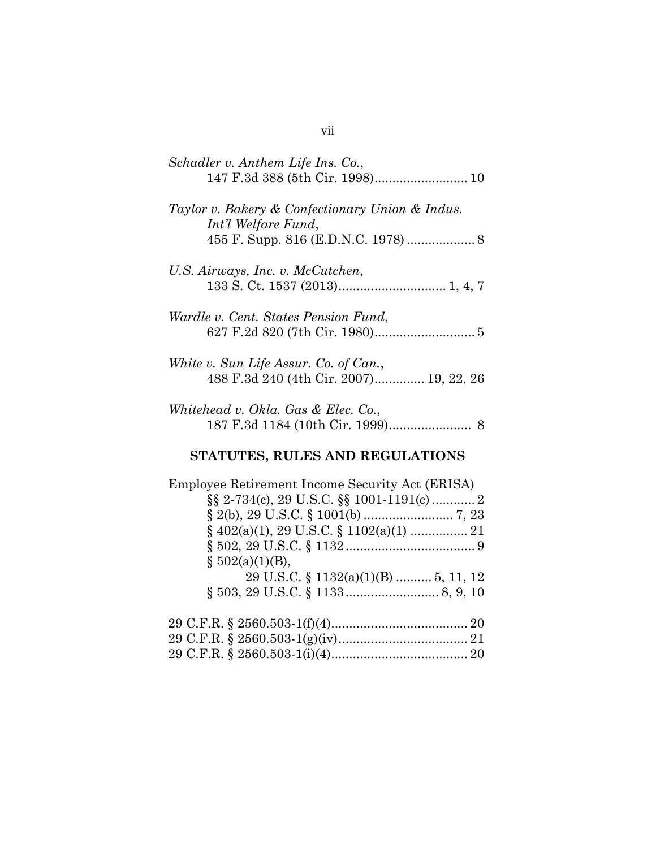| Schadler v. Anthem Life Ins. Co.,<br>147 F.3d 388 (5th Cir. 1998) 10             |
|----------------------------------------------------------------------------------|
| Taylor v. Bakery & Confectionary Union & Indus.<br>Int'l Welfare Fund,           |
| U.S. Airways, Inc. v. McCutchen,                                                 |
| Wardle v. Cent. States Pension Fund,                                             |
| White v. Sun Life Assur. Co. of Can.,<br>488 F.3d 240 (4th Cir. 2007) 19, 22, 26 |
| Whitehead v. Okla. Gas & Elec. Co.,                                              |
| STATUTES, RULES AND REGULATIONS                                                  |
| Employee Retirement Income Security Act (ERISA)<br>$\S 502(a)(1)(B)$ ,           |
| 29 U.S.C. $\S$ 1132(a)(1)(B)  5, 11, 12                                          |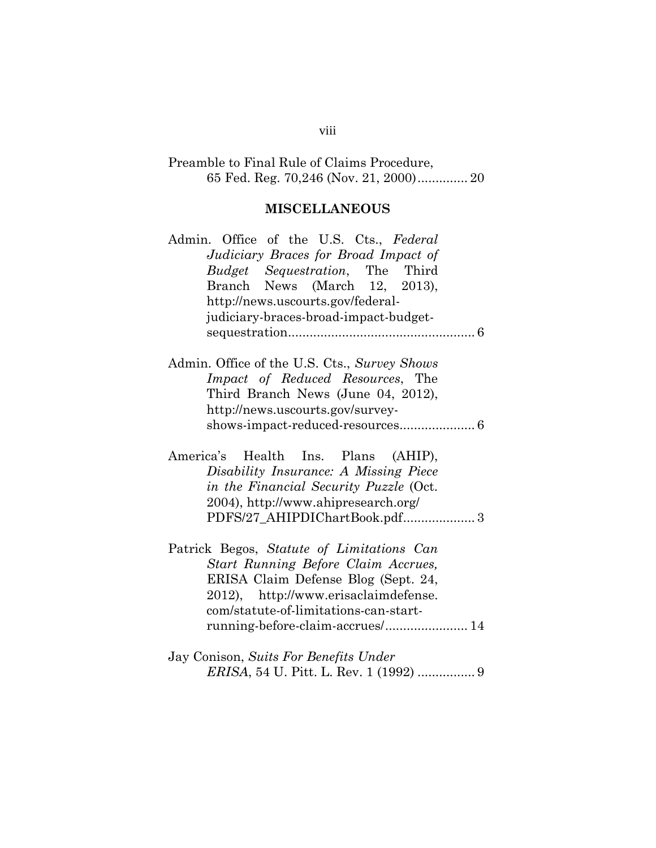# Preamble to Final Rule of Claims Procedure, 65 Fed. Reg. 70,246 (Nov. 21, 2000).............. 20

# **MISCELLANEOUS**

| Admin. Office of the U.S. Cts., Federal      |
|----------------------------------------------|
| Judiciary Braces for Broad Impact of         |
| Budget Sequestration, The Third              |
| Branch News (March 12, 2013),                |
| http://news.uscourts.gov/federal-            |
| judiciary-braces-broad-impact-budget-        |
|                                              |
|                                              |
| Admin. Office of the U.S. Cts., Survey Shows |
| <i>Impact of Reduced Resources</i> , The     |
| Third Branch News (June 04, 2012),           |
|                                              |
| http://news.uscourts.gov/survey-             |
|                                              |
|                                              |
| America's Health Ins. Plans (AHIP),          |
| Disability Insurance: A Missing Piece        |
| in the Financial Security Puzzle (Oct.       |
| 2004), http://www.ahipresearch.org/          |
| PDFS/27_AHIPDIChartBook.pdf 3                |
|                                              |
| Patrick Begos, Statute of Limitations Can    |
| Start Running Before Claim Accrues,          |
| ERISA Claim Defense Blog (Sept. 24,          |
| 2012), http://www.erisaclaimdefense.         |
| com/statute-of-limitations-can-start-        |
| running-before-claim-accrues/ 14             |
|                                              |
|                                              |
| Jay Conison, Suits For Benefits Under        |

### viii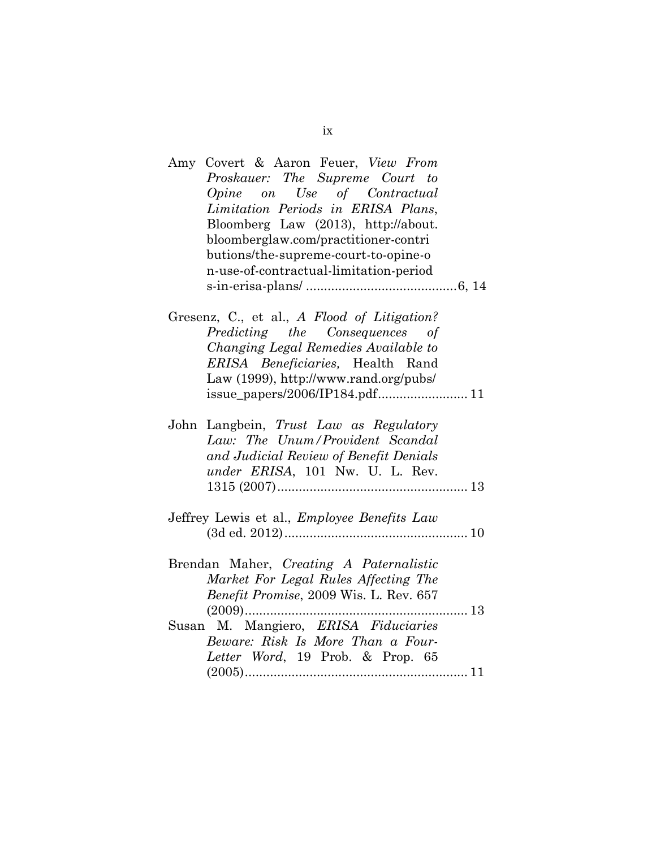| Amy Covert & Aaron Feuer, View From         |
|---------------------------------------------|
| Proskauer: The Supreme Court to             |
| Opine on Use of Contractual                 |
| Limitation Periods in ERISA Plans,          |
| Bloomberg Law (2013), http://about.         |
| bloomberglaw.com/practitioner-contri        |
| butions/the-supreme-court-to-opine-o        |
| n-use-of-contractual-limitation-period      |
|                                             |
|                                             |
| Gresenz, C., et al., A Flood of Litigation? |
| Predicting the Consequences of              |
| Changing Legal Remedies Available to        |
| ERISA Beneficiaries, Health Rand            |
| Law (1999), http://www.rand.org/pubs/       |
|                                             |
|                                             |
| John Langbein, Trust Law as Regulatory      |
| Law: The Unum/Provident Scandal             |
| and Judicial Review of Benefit Denials      |
| under ERISA, 101 Nw. U. L. Rev.             |
|                                             |
|                                             |
| Jeffrey Lewis et al., Employee Benefits Law |
|                                             |
|                                             |
| Brendan Maher, Creating A Paternalistic     |
| Market For Legal Rules Affecting The        |
| Benefit Promise, 2009 Wis. L. Rev. 657      |
| 13                                          |
| Susan M. Mangiero, ERISA Fiduciaries        |
| Beware: Risk Is More Than a Four-           |
| Letter Word, 19 Prob. & Prop. 65            |
|                                             |

ix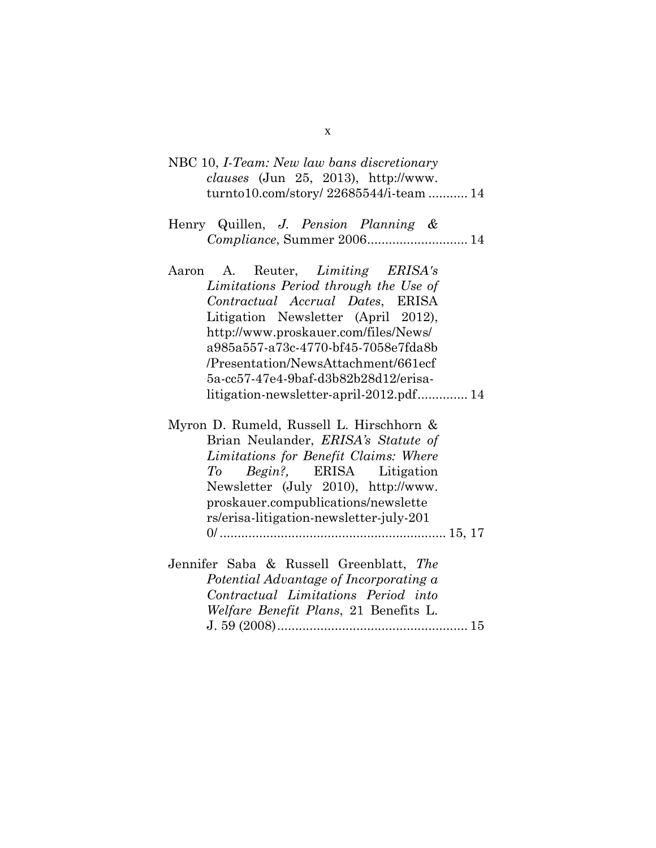|  |  | NBC 10, <i>I-Team: New law bans discretionary</i> |  |
|--|--|---------------------------------------------------|--|
|  |  | <i>clauses</i> (Jun 25, 2013), $http://www.$      |  |
|  |  | turnto10.com/story/ 22685544/i-team  14           |  |

- Henry Quillen, *J. Pension Planning & Compliance*, Summer 2006............................ 14
- Aaron A. Reuter, *Limiting ERISA's Limitations Period through the Use of Contractual Accrual Dates*, ERISA Litigation Newsletter (April 2012), http://www.proskauer.com/files/News/ a985a557-a73c-4770-bf45-7058e7fda8b /Presentation/NewsAttachment/661ecf 5a-cc57-47e4-9baf-d3b82b28d12/erisalitigation-newsletter-april-2012.pdf.............. 14
- Myron D. Rumeld, Russell L. Hirschhorn & Brian Neulander, *ERISA's Statute of Limitations for Benefit Claims: Where To Begin?,* ERISA Litigation Newsletter (July 2010), http://www. proskauer.compublications/newslette rs/erisa-litigation-newsletter-july-201 0/ ............................................................... 15, 17
- Jennifer Saba & Russell Greenblatt, *The Potential Advantage of Incorporating a Contractual Limitations Period into Welfare Benefit Plans*, 21 Benefits L. J. 59 (2008)..................................................... 15

x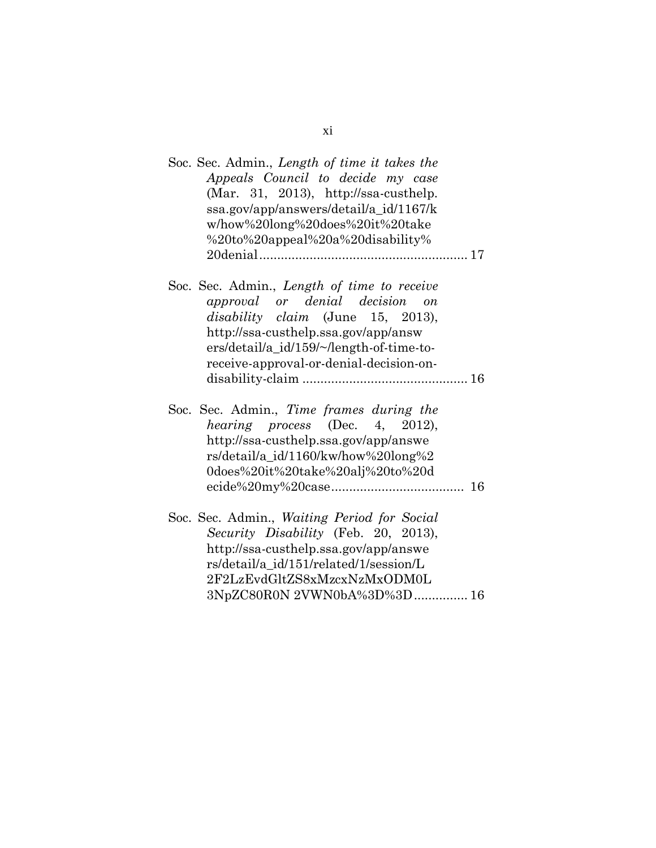| Soc. Sec. Admin., Length of time it takes the<br>Appeals Council to decide my case<br>(Mar. 31, 2013), http://ssa-custhelp.<br>ssa.gov/app/answers/detail/a_id/1167/k<br>w/how%20long%20does%20it%20take<br>%20to%20appeal%20a%20disability%             |    |
|----------------------------------------------------------------------------------------------------------------------------------------------------------------------------------------------------------------------------------------------------------|----|
| Soc. Sec. Admin., Length of time to receive<br>approval or denial decision on<br><i>disability claim</i> (June 15, 2013),<br>http://ssa-custhelp.ssa.gov/app/answ<br>ers/detail/a_id/159/~/length-of-time-to-<br>receive-approval-or-denial-decision-on- |    |
| Soc. Sec. Admin., Time frames during the<br><i>hearing process</i> (Dec. 4, 2012),<br>http://ssa-custhelp.ssa.gov/app/answe<br>rs/detail/a_id/1160/kw/how%20long%2<br>0does%20it%20take%20alj%20to%20d                                                   | 16 |
| Soc. Sec. Admin., Waiting Period for Social<br>Security Disability (Feb. 20, 2013),<br>http://ssa-custhelp.ssa.gov/app/answe<br>rs/detail/a id/151/related/1/session/L<br>2F2LzEvdGltZS8xMzcxNzMxODM0L<br>3NpZC80R0N 2VWN0bA%3D%3D 16                    |    |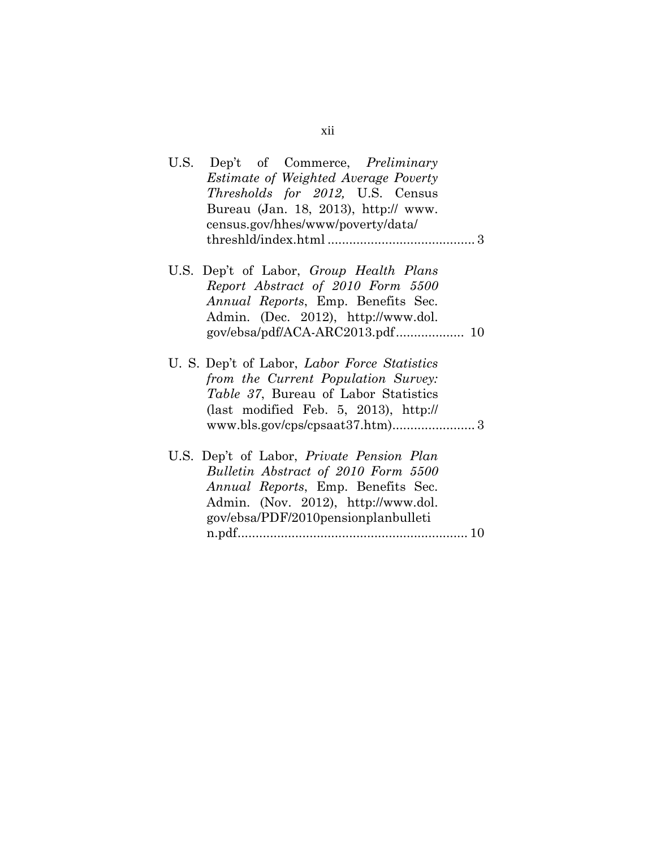| Dep't of Commerce, <i>Preliminary</i><br>U.S.                                                                                                                                 |
|-------------------------------------------------------------------------------------------------------------------------------------------------------------------------------|
| <i>Estimate of Weighted Average Poverty</i>                                                                                                                                   |
| <i>Thresholds for 2012</i> , U.S. Census                                                                                                                                      |
| Bureau (Jan. 18, 2013), http:// www.                                                                                                                                          |
| census.gov/hhes/www/poverty/data/                                                                                                                                             |
|                                                                                                                                                                               |
|                                                                                                                                                                               |
|                                                                                                                                                                               |
| U.S. Dep't of Labor, Group Health Plans                                                                                                                                       |
| Report Abstract of 2010 Form 5500                                                                                                                                             |
| <i>Annual Reports</i> , Emp. Benefits Sec.                                                                                                                                    |
| Admin. (Dec. 2012), http://www.dol.                                                                                                                                           |
|                                                                                                                                                                               |
| U. S. Dep't of Labor, <i>Labor Force Statistics</i><br>from the Current Population Survey:<br>Table 37, Bureau of Labor Statistics<br>(last modified Feb. 5, 2013), $http://$ |
|                                                                                                                                                                               |
| U.S. Dep't of Labor, <i>Private Pension Plan</i>                                                                                                                              |
| Bulletin Abstract of 2010 Form 5500                                                                                                                                           |
| <i>Annual Reports</i> , Emp. Benefits Sec.                                                                                                                                    |
| Admin. (Nov. 2012), http://www.dol.                                                                                                                                           |
| gov/ebsa/PDF/2010pensionplanbulleti                                                                                                                                           |
|                                                                                                                                                                               |
|                                                                                                                                                                               |

# xii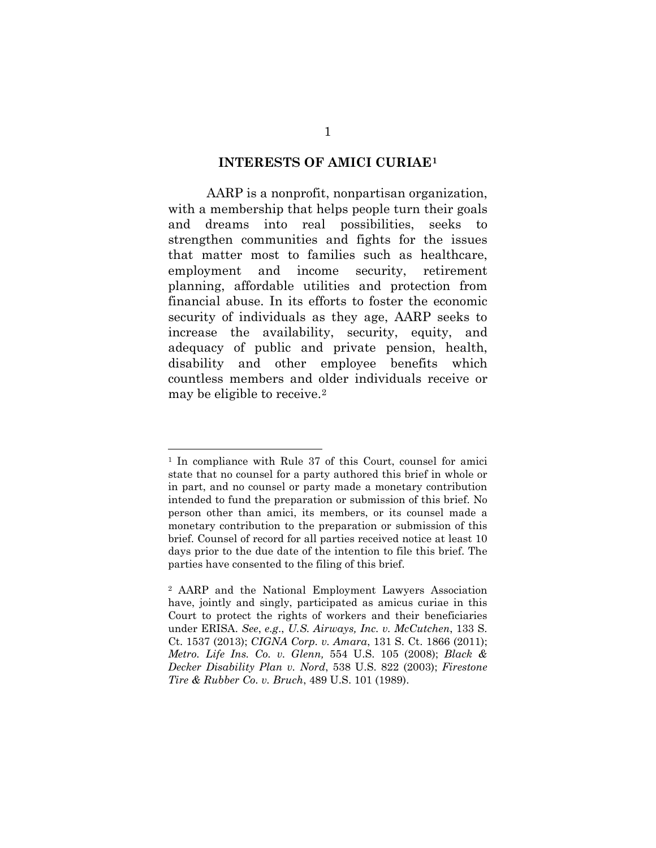#### **INTERESTS OF AMICI CURIAE[1](#page-13-0)**

AARP is a nonprofit, nonpartisan organization, with a membership that helps people turn their goals and dreams into real possibilities, seeks to strengthen communities and fights for the issues that matter most to families such as healthcare, employment and income security, retirement planning, affordable utilities and protection from financial abuse. In its efforts to foster the economic security of individuals as they age, AARP seeks to increase the availability, security, equity, and adequacy of public and private pension, health, disability and other employee benefits which countless members and older individuals receive or may be eligible to receive.[2](#page-13-1)

-

<span id="page-13-0"></span><sup>&</sup>lt;sup>1</sup> In compliance with Rule 37 of this Court, counsel for amici state that no counsel for a party authored this brief in whole or in part, and no counsel or party made a monetary contribution intended to fund the preparation or submission of this brief. No person other than amici, its members, or its counsel made a monetary contribution to the preparation or submission of this brief. Counsel of record for all parties received notice at least 10 days prior to the due date of the intention to file this brief. The parties have consented to the filing of this brief.

<span id="page-13-1"></span><sup>2</sup> AARP and the National Employment Lawyers Association have, jointly and singly, participated as amicus curiae in this Court to protect the rights of workers and their beneficiaries under ERISA. *See*, *e.g*., *U.S. Airways, Inc. v. McCutchen*, 133 S. Ct. 1537 (2013); *CIGNA Corp. v. Amara*, 131 S. Ct. 1866 (2011); *Metro. Life Ins. Co. v. Glenn,* 554 U.S. 105 (2008); *Black & Decker Disability Plan v. Nord*, 538 U.S. 822 (2003); *Firestone Tire & Rubber Co. v. Bruch*, 489 U.S. 101 (1989).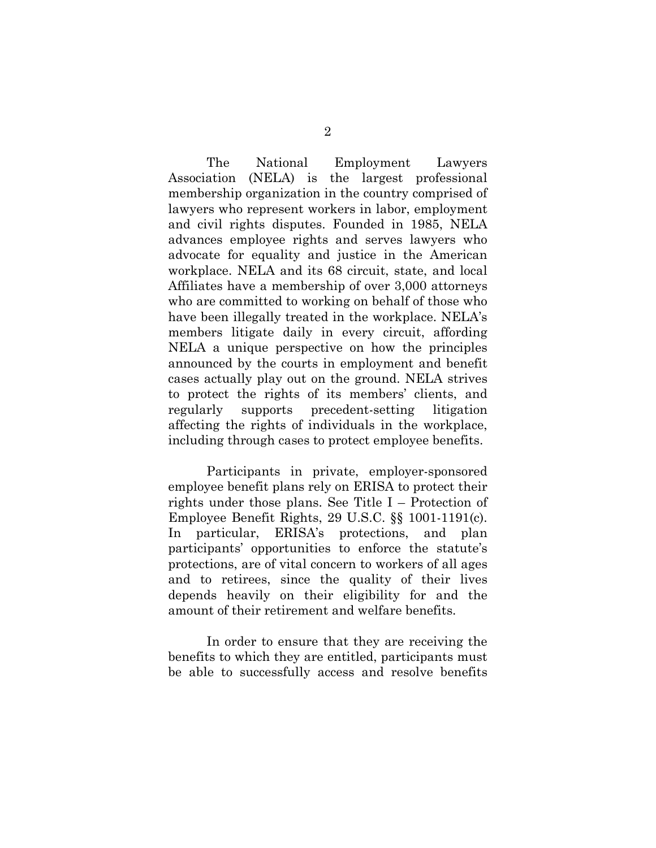The National Employment Lawyers Association (NELA) is the largest professional membership organization in the country comprised of lawyers who represent workers in labor, employment and civil rights disputes. Founded in 1985, NELA advances employee rights and serves lawyers who advocate for equality and justice in the American workplace. NELA and its 68 circuit, state, and local Affiliates have a membership of over 3,000 attorneys who are committed to working on behalf of those who have been illegally treated in the workplace. NELA's members litigate daily in every circuit, affording NELA a unique perspective on how the principles announced by the courts in employment and benefit cases actually play out on the ground. NELA strives to protect the rights of its members' clients, and regularly supports precedent-setting litigation affecting the rights of individuals in the workplace, including through cases to protect employee benefits.

Participants in private, employer-sponsored employee benefit plans rely on ERISA to protect their rights under those plans. See Title I – Protection of Employee Benefit Rights, 29 U.S.C. §§ 1001-1191(c). In particular, ERISA's protections, and plan participants' opportunities to enforce the statute's protections, are of vital concern to workers of all ages and to retirees, since the quality of their lives depends heavily on their eligibility for and the amount of their retirement and welfare benefits.

In order to ensure that they are receiving the benefits to which they are entitled, participants must be able to successfully access and resolve benefits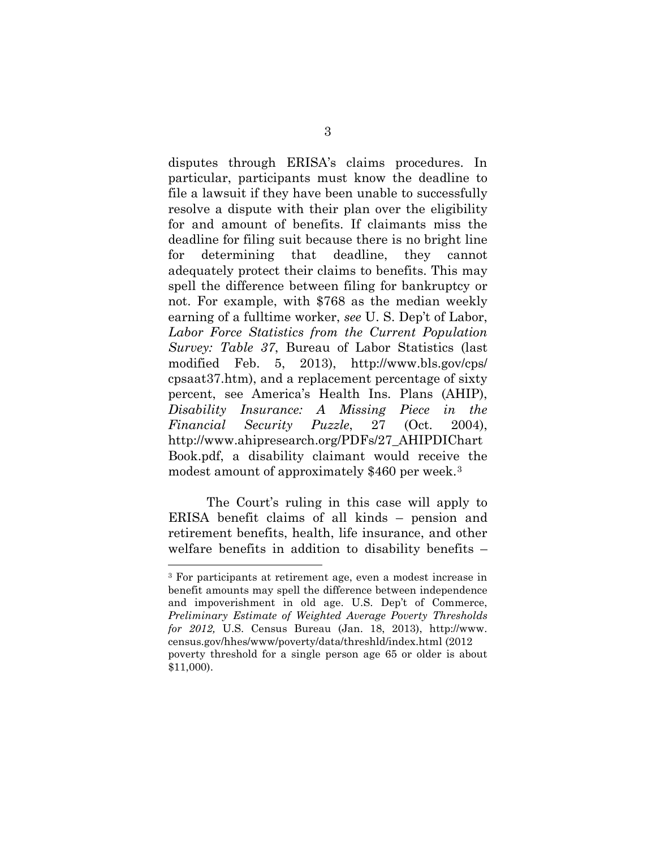disputes through ERISA's claims procedures. In particular, participants must know the deadline to file a lawsuit if they have been unable to successfully resolve a dispute with their plan over the eligibility for and amount of benefits. If claimants miss the deadline for filing suit because there is no bright line for determining that deadline, they cannot adequately protect their claims to benefits. This may spell the difference between filing for bankruptcy or not. For example, with \$768 as the median weekly earning of a fulltime worker, *see* U. S. Dep't of Labor, *Labor Force Statistics from the Current Population Survey: Table 37*, Bureau of Labor Statistics (last modified Feb. 5, 2013), http://www.bls.gov/cps/ cpsaat37.htm), and a replacement percentage of sixty percent, see America's Health Ins. Plans (AHIP), *Disability Insurance: A Missing Piece in the Financial Security Puzzle*, 27 (Oct. 2004), http://www.ahipresearch.org/PDFs/27\_AHIPDIChart Book.pdf, a disability claimant would receive the modest amount of approximately \$460 per week.[3](#page-15-0)

The Court's ruling in this case will apply to ERISA benefit claims of all kinds – pension and retirement benefits, health, life insurance, and other welfare benefits in addition to disability benefits –

<u>.</u>

<span id="page-15-0"></span><sup>3</sup> For participants at retirement age, even a modest increase in benefit amounts may spell the difference between independence and impoverishment in old age. U.S. Dep't of Commerce, *Preliminary Estimate of Weighted Average Poverty Thresholds for 2012,* U.S. Census Bureau (Jan. 18, 2013), http://www. census.gov/hhes/www/poverty/data/threshld/index.html (2012 poverty threshold for a single person age 65 or older is about \$11,000).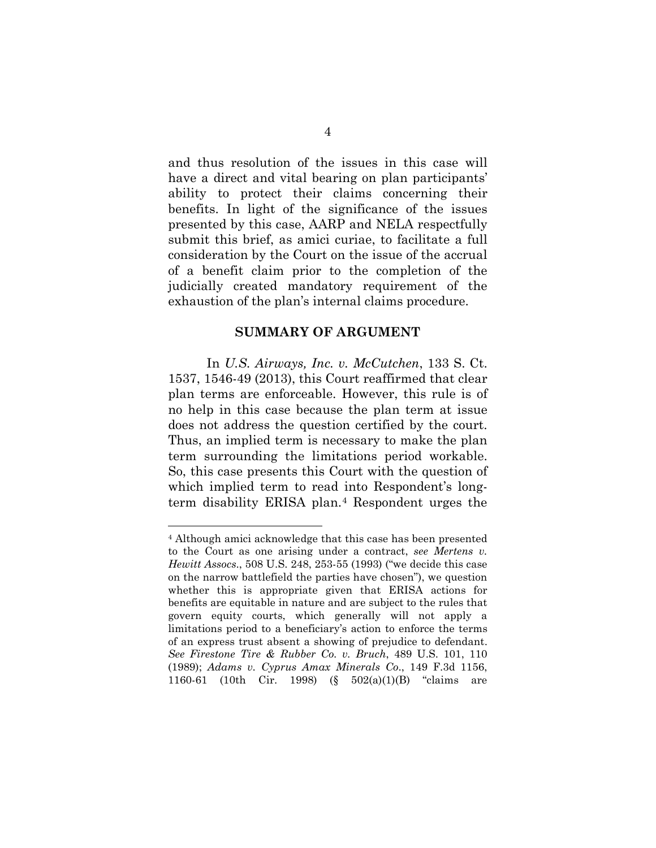and thus resolution of the issues in this case will have a direct and vital bearing on plan participants' ability to protect their claims concerning their benefits. In light of the significance of the issues presented by this case, AARP and NELA respectfully submit this brief, as amici curiae, to facilitate a full consideration by the Court on the issue of the accrual of a benefit claim prior to the completion of the judicially created mandatory requirement of the exhaustion of the plan's internal claims procedure.

#### **SUMMARY OF ARGUMENT**

In *U.S. Airways, Inc. v. McCutchen*, 133 S. Ct. 1537, 1546-49 (2013), this Court reaffirmed that clear plan terms are enforceable. However, this rule is of no help in this case because the plan term at issue does not address the question certified by the court. Thus, an implied term is necessary to make the plan term surrounding the limitations period workable. So, this case presents this Court with the question of which implied term to read into Respondent's longterm disability ERISA plan.[4](#page-16-0) Respondent urges the

<u>.</u>

<span id="page-16-0"></span><sup>4</sup> Although amici acknowledge that this case has been presented to the Court as one arising under a contract, *see Mertens v. Hewitt Assocs*., 508 U.S. 248, 253-55 (1993) ("we decide this case on the narrow battlefield the parties have chosen"), we question whether this is appropriate given that ERISA actions for benefits are equitable in nature and are subject to the rules that govern equity courts, which generally will not apply a limitations period to a beneficiary's action to enforce the terms of an express trust absent a showing of prejudice to defendant. *See Firestone Tire & Rubber Co. v. Bruch*, 489 U.S. 101, 110 (1989); *Adams v. Cyprus Amax Minerals Co*., 149 F.3d 1156, 1160-61 (10th Cir. 1998) (§ 502(a)(1)(B) "claims are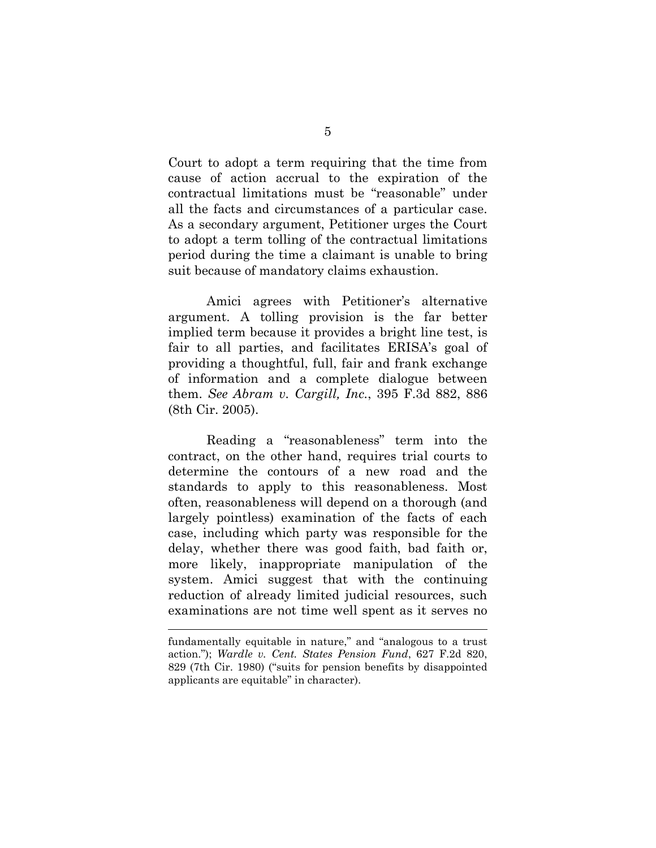Court to adopt a term requiring that the time from cause of action accrual to the expiration of the contractual limitations must be "reasonable" under all the facts and circumstances of a particular case. As a secondary argument, Petitioner urges the Court to adopt a term tolling of the contractual limitations period during the time a claimant is unable to bring suit because of mandatory claims exhaustion.

Amici agrees with Petitioner's alternative argument. A tolling provision is the far better implied term because it provides a bright line test, is fair to all parties, and facilitates ERISA's goal of providing a thoughtful, full, fair and frank exchange of information and a complete dialogue between them. *See Abram v. Cargill, Inc.*, 395 F.3d 882, 886 (8th Cir. 2005).

Reading a "reasonableness" term into the contract, on the other hand, requires trial courts to determine the contours of a new road and the standards to apply to this reasonableness. Most often, reasonableness will depend on a thorough (and largely pointless) examination of the facts of each case, including which party was responsible for the delay, whether there was good faith, bad faith or, more likely, inappropriate manipulation of the system. Amici suggest that with the continuing reduction of already limited judicial resources, such examinations are not time well spent as it serves no

 $\overline{a}$ 

fundamentally equitable in nature," and "analogous to a trust action."); *Wardle v. Cent. States Pension Fund*, 627 F.2d 820, 829 (7th Cir. 1980) ("suits for pension benefits by disappointed applicants are equitable" in character).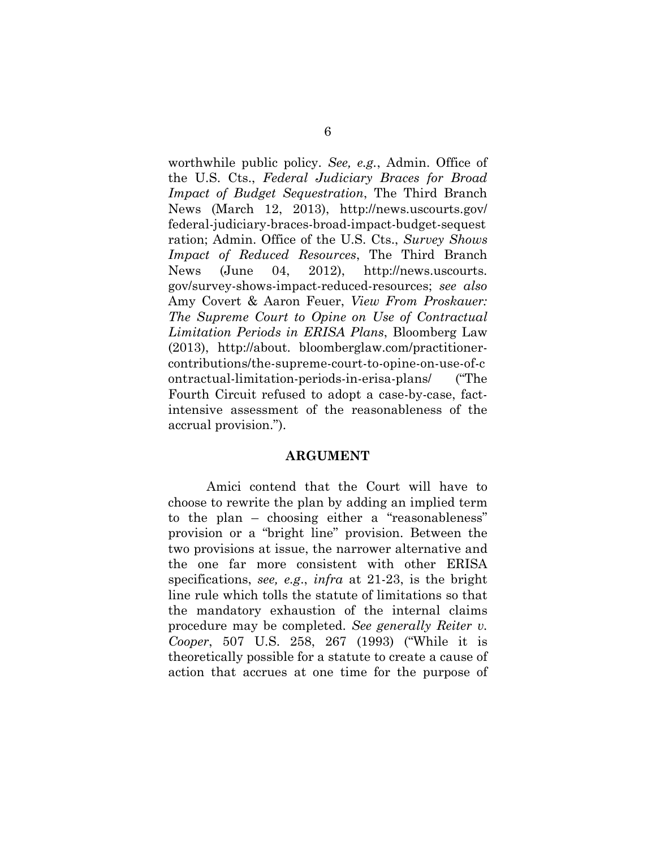worthwhile public policy. *See, e.g.*, Admin. Office of the U.S. Cts., *Federal Judiciary Braces for Broad Impact of Budget Sequestration*, The Third Branch News (March 12, 2013), [http://news.](http://news/)uscourts.gov/ federal-judiciary-braces-broad-impact-budget-sequest ration; Admin. Office of the U.S. Cts., *Survey Shows Impact of Reduced Resources*, The Third Branch News (June 04, 2012), [http://news.](http://news/)uscourts. gov/survey-shows-impact-reduced-resources; *see also* Amy Covert & Aaron Feuer, *View From Proskauer: The Supreme Court to Opine on Use of Contractual Limitation Periods in ERISA Plans*, Bloomberg Law (2013), http://about. bloomberglaw.com/practitionercontributions/the-supreme-court-to-opine-on-use-of-c ontractual-limitation-periods-in-erisa-plans/ ("The Fourth Circuit refused to adopt a case-by-case, factintensive assessment of the reasonableness of the accrual provision.").

#### **ARGUMENT**

Amici contend that the Court will have to choose to rewrite the plan by adding an implied term to the plan – choosing either a "reasonableness" provision or a "bright line" provision. Between the two provisions at issue, the narrower alternative and the one far more consistent with other ERISA specifications, *see, e.g*., *infra* at 21-23, is the bright line rule which tolls the statute of limitations so that the mandatory exhaustion of the internal claims procedure may be completed. *See generally Reiter v. Cooper*, 507 U.S. 258, 267 (1993) ("While it is theoretically possible for a statute to create a cause of action that accrues at one time for the purpose of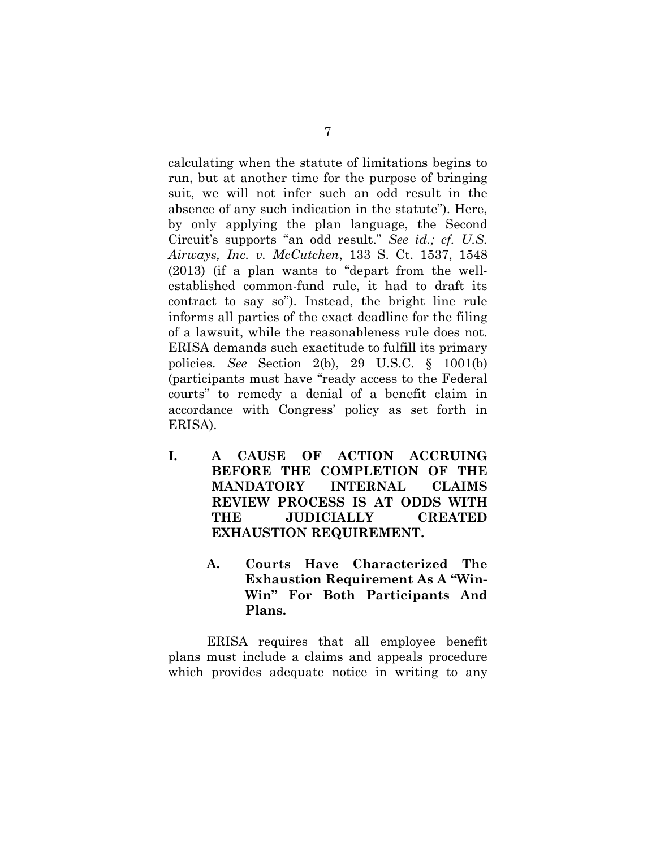calculating when the statute of limitations begins to run, but at another time for the purpose of bringing suit, we will not infer such an odd result in the absence of any such indication in the statute"). Here, by only applying the plan language, the Second Circuit's supports "an odd result." *See id.; cf. U.S. Airways, Inc. v. McCutchen*, 133 S. Ct. 1537, 1548 (2013) (if a plan wants to "depart from the wellestablished common-fund rule, it had to draft its contract to say so"). Instead, the bright line rule informs all parties of the exact deadline for the filing of a lawsuit, while the reasonableness rule does not. ERISA demands such exactitude to fulfill its primary policies. *See* Section 2(b), 29 U.S.C. § 1001(b) (participants must have "ready access to the Federal courts" to remedy a denial of a benefit claim in accordance with Congress' policy as set forth in ERISA).

- **I. A CAUSE OF ACTION ACCRUING BEFORE THE COMPLETION OF THE MANDATORY INTERNAL CLAIMS REVIEW PROCESS IS AT ODDS WITH THE JUDICIALLY CREATED EXHAUSTION REQUIREMENT.**
	- **A. Courts Have Characterized The Exhaustion Requirement As A "Win-Win" For Both Participants And Plans.**

ERISA requires that all employee benefit plans must include a claims and appeals procedure which provides adequate notice in writing to any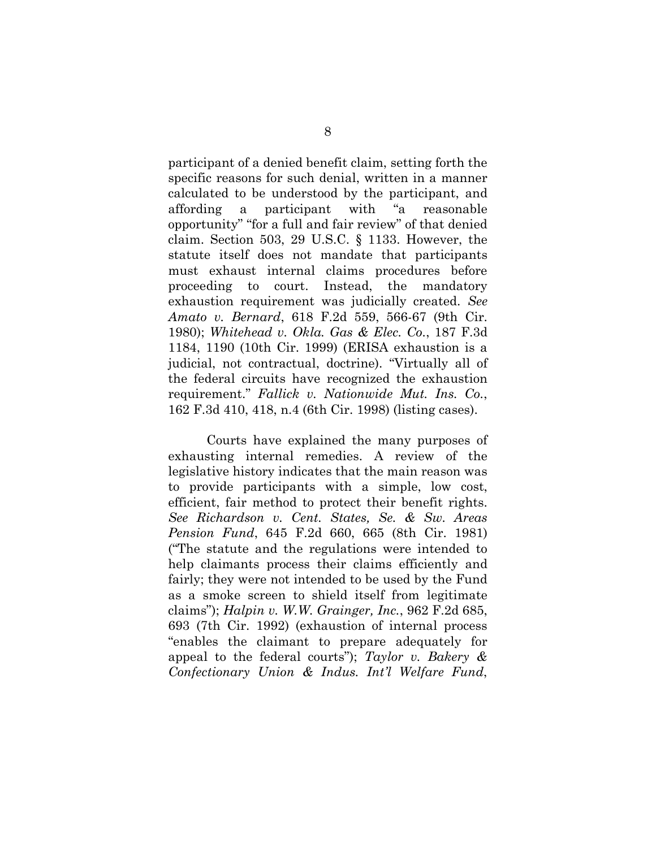participant of a denied benefit claim, setting forth the specific reasons for such denial, written in a manner calculated to be understood by the participant, and affording a participant with "a reasonable opportunity" "for a full and fair review" of that denied claim. Section 503, 29 U.S.C. § 1133. However, the statute itself does not mandate that participants must exhaust internal claims procedures before proceeding to court. Instead, the mandatory exhaustion requirement was judicially created. *See Amato v. Bernard*, 618 F.2d 559, 566-67 (9th Cir. 1980); *Whitehead v. Okla. Gas & Elec. Co.*, 187 F.3d 1184, 1190 (10th Cir. 1999) (ERISA exhaustion is a judicial, not contractual, doctrine). "Virtually all of the federal circuits have recognized the exhaustion requirement." *Fallick v. Nationwide Mut. Ins. Co.*, 162 F.3d 410, 418, n.4 (6th Cir. 1998) (listing cases).

Courts have explained the many purposes of exhausting internal remedies. A review of the legislative history indicates that the main reason was to provide participants with a simple, low cost, efficient, fair method to protect their benefit rights. *See Richardson v. Cent. States, Se. & Sw. Areas Pension Fund*, 645 F.2d 660, 665 (8th Cir. 1981) ("The statute and the regulations were intended to help claimants process their claims efficiently and fairly; they were not intended to be used by the Fund as a smoke screen to shield itself from legitimate claims"); *Halpin v. W.W. Grainger, Inc.*, 962 F.2d 685, 693 (7th Cir. 1992) (exhaustion of internal process "enables the claimant to prepare adequately for appeal to the federal courts"); *Taylor v. Bakery & Confectionary Union & Indus. Int'l Welfare Fund*,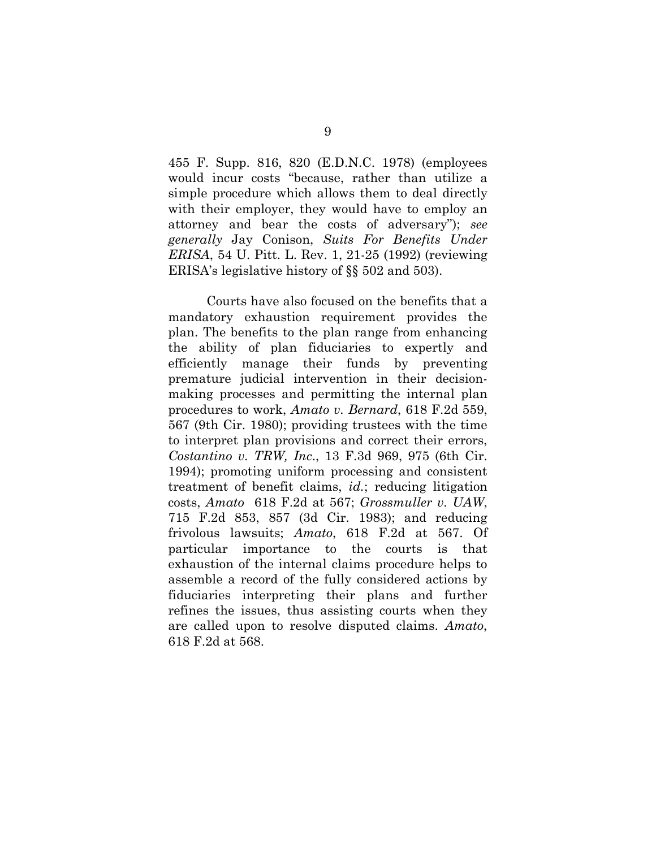455 F. Supp. 816, 820 (E.D.N.C. 1978) (employees would incur costs "because, rather than utilize a simple procedure which allows them to deal directly with their employer, they would have to employ an attorney and bear the costs of adversary"); *see generally* Jay Conison, *Suits For Benefits Under ERISA*, 54 U. Pitt. L. Rev. 1, 21-25 (1992) (reviewing ERISA's legislative history of §§ 502 and 503).

Courts have also focused on the benefits that a mandatory exhaustion requirement provides the plan. The benefits to the plan range from enhancing the ability of plan fiduciaries to expertly and efficiently manage their funds by preventing premature judicial intervention in their decisionmaking processes and permitting the internal plan procedures to work, *Amato v. Bernard*, 618 F.2d 559, 567 (9th Cir. 1980); providing trustees with the time to interpret plan provisions and correct their errors, *Costantino v. TRW, Inc*., 13 F.3d 969, 975 (6th Cir. 1994); promoting uniform processing and consistent treatment of benefit claims, *id.*; reducing litigation costs, *Amato* 618 F.2d at 567; *Grossmuller v. UAW*, 715 F.2d 853, 857 (3d Cir. 1983); and reducing frivolous lawsuits; *Amato*, 618 F.2d at 567. Of particular importance to the courts is that exhaustion of the internal claims procedure helps to assemble a record of the fully considered actions by fiduciaries interpreting their plans and further refines the issues, thus assisting courts when they are called upon to resolve disputed claims. *Amato*, 618 F.2d at 568.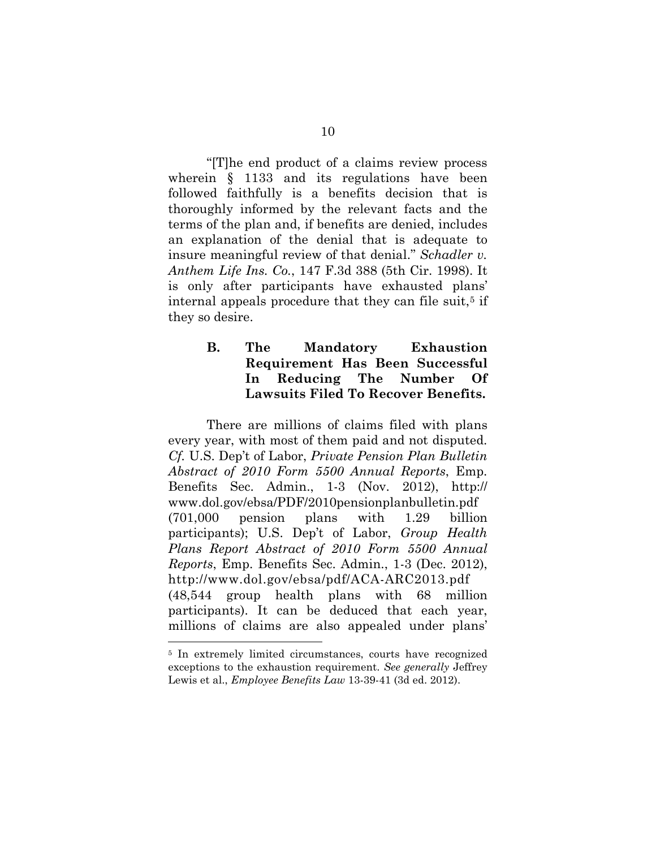"[T]he end product of a claims review process wherein § 1133 and its regulations have been followed faithfully is a benefits decision that is thoroughly informed by the relevant facts and the terms of the plan and, if benefits are denied, includes an explanation of the denial that is adequate to insure meaningful review of that denial." *Schadler v. Anthem Life Ins. Co.*, 147 F.3d 388 (5th Cir. 1998). It is only after participants have exhausted plans' internal appeals procedure that they can file suit,<sup>[5](#page-22-0)</sup> if they so desire.

## **B. The Mandatory Exhaustion Requirement Has Been Successful In Reducing The Number Of Lawsuits Filed To Recover Benefits.**

There are millions of claims filed with plans every year, with most of them paid and not disputed. *Cf.* U.S. Dep't of Labor, *Private Pension Plan Bulletin Abstract of 2010 Form 5500 Annual Reports*, Emp. Benefits Sec. Admin., 1-3 (Nov. 2012), http:// www.dol.gov/ebsa/PDF/2010pensionplanbulletin.pdf (701,000 pension plans with 1.29 billion participants); U.S. Dep't of Labor, *Group Health Plans Report Abstract of 2010 Form 5500 Annual Reports*, Emp. Benefits Sec. Admin., 1-3 (Dec. 2012), http://www.dol.gov/ebsa/pdf/ACA-ARC2013.pdf (48,544 group health plans with 68 million participants). It can be deduced that each year, millions of claims are also appealed under plans' -

<span id="page-22-0"></span><sup>&</sup>lt;sup>5</sup> In extremely limited circumstances, courts have recognized exceptions to the exhaustion requirement. *See generally* Jeffrey Lewis et al., *Employee Benefits Law* 13-39-41 (3d ed. 2012).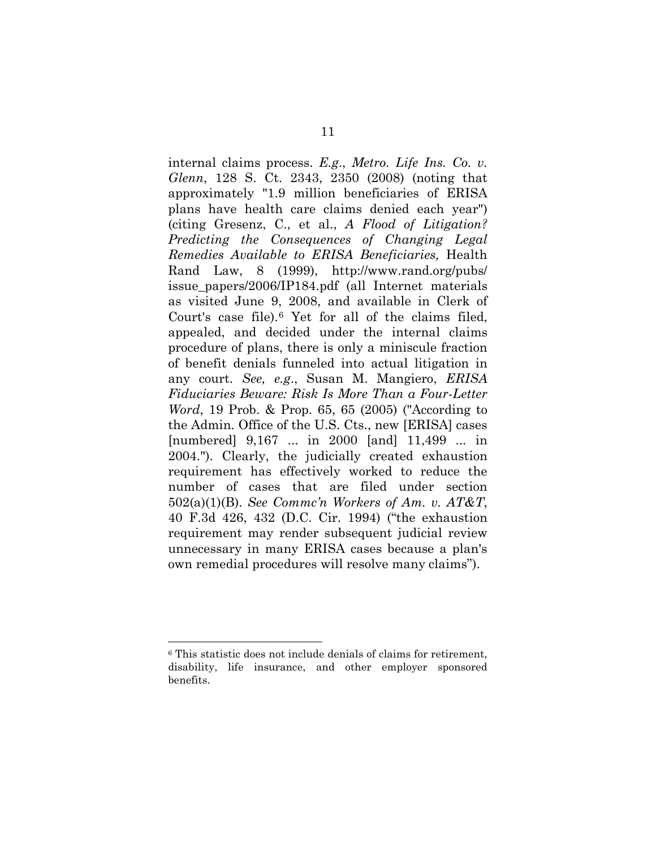internal claims process. *E.g*., *Metro. Life Ins. Co. v. Glenn*, 128 S. Ct. 2343, 2350 (2008) (noting that approximately "1.9 million beneficiaries of ERISA plans have health care claims denied each year") (citing Gresenz, C., et al., *A Flood of Litigation? Predicting the Consequences of Changing Legal Remedies Available to ERISA Beneficiaries,* Health Rand Law, 8 (1999), http://www.rand.org/pubs/ issue\_papers/2006/IP184.pdf (all Internet materials as visited June 9, 2008, and available in Clerk of Court's case file).[6](#page-23-0) Yet for all of the claims filed, appealed, and decided under the internal claims procedure of plans, there is only a miniscule fraction of benefit denials funneled into actual litigation in any court. *See, e.g*., Susan M. Mangiero, *ERISA Fiduciaries Beware: Risk Is More Than a Four-Letter Word*, 19 Prob. & Prop. 65, 65 (2005) ("According to the Admin. Office of the U.S. Cts., new [ERISA] cases [numbered] 9,167 ... in 2000 [and] 11,499 ... in 2004."). Clearly, the judicially created exhaustion requirement has effectively worked to reduce the number of cases that are filed under section 502(a)(1)(B). *See Commc'n Workers of Am. v. AT&T*, 40 F.3d 426, 432 (D.C. Cir. 1994) ("the exhaustion requirement may render subsequent judicial review unnecessary in many ERISA cases because a plan's own remedial procedures will resolve many claims").

-

<span id="page-23-0"></span><sup>6</sup> This statistic does not include denials of claims for retirement, disability, life insurance, and other employer sponsored benefits.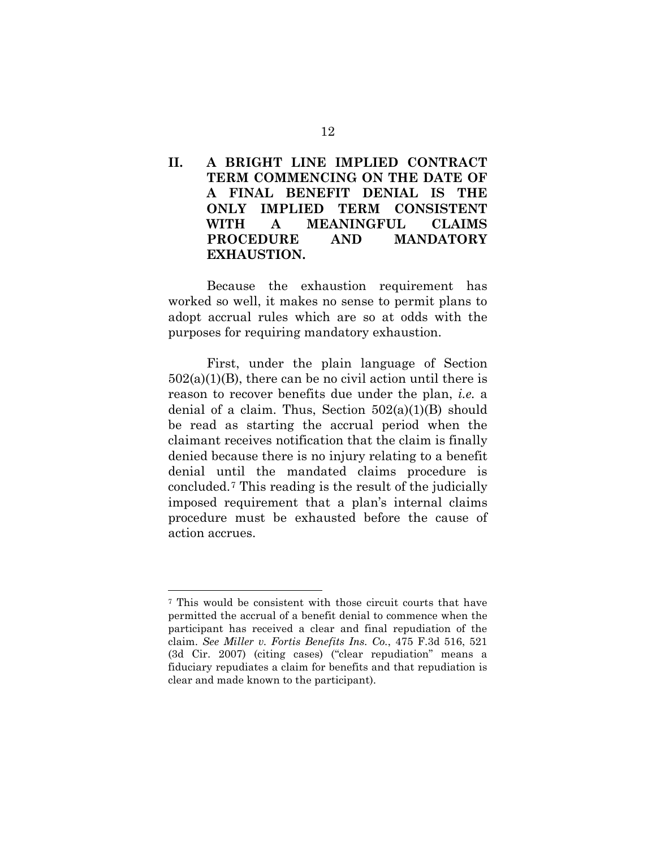## **II. A BRIGHT LINE IMPLIED CONTRACT TERM COMMENCING ON THE DATE OF A FINAL BENEFIT DENIAL IS THE ONLY IMPLIED TERM CONSISTENT WITH A MEANINGFUL CLAIMS PROCEDURE AND MANDATORY EXHAUSTION.**

Because the exhaustion requirement has worked so well, it makes no sense to permit plans to adopt accrual rules which are so at odds with the purposes for requiring mandatory exhaustion.

First, under the plain language of Section  $502(a)(1)(B)$ , there can be no civil action until there is reason to recover benefits due under the plan, *i.e.* a denial of a claim. Thus, Section  $502(a)(1)(B)$  should be read as starting the accrual period when the claimant receives notification that the claim is finally denied because there is no injury relating to a benefit denial until the mandated claims procedure is concluded.[7](#page-24-0) This reading is the result of the judicially imposed requirement that a plan's internal claims procedure must be exhausted before the cause of action accrues.

<u>.</u>

<span id="page-24-0"></span><sup>7</sup> This would be consistent with those circuit courts that have permitted the accrual of a benefit denial to commence when the participant has received a clear and final repudiation of the claim. *See Miller v. Fortis Benefits Ins. Co.*, 475 F.3d 516, 521 (3d Cir. 2007) (citing cases) ("clear repudiation" means a fiduciary repudiates a claim for benefits and that repudiation is clear and made known to the participant).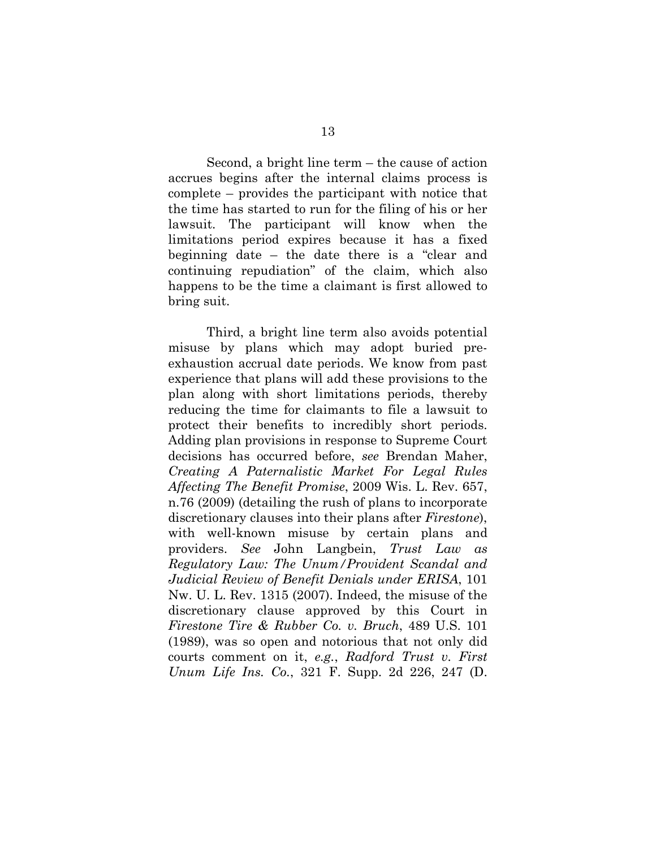Second, a bright line term – the cause of action accrues begins after the internal claims process is complete – provides the participant with notice that the time has started to run for the filing of his or her lawsuit. The participant will know when the limitations period expires because it has a fixed beginning date – the date there is a "clear and continuing repudiation" of the claim, which also happens to be the time a claimant is first allowed to bring suit.

Third, a bright line term also avoids potential misuse by plans which may adopt buried preexhaustion accrual date periods. We know from past experience that plans will add these provisions to the plan along with short limitations periods, thereby reducing the time for claimants to file a lawsuit to protect their benefits to incredibly short periods. Adding plan provisions in response to Supreme Court decisions has occurred before, *see* Brendan Maher, *Creating A Paternalistic Market For Legal Rules Affecting The Benefit Promise*, 2009 Wis. L. Rev. 657, n.76 (2009) (detailing the rush of plans to incorporate discretionary clauses into their plans after *Firestone*), with well-known misuse by certain plans and providers. *See* John Langbein, *Trust Law as Regulatory Law: The Unum/Provident Scandal and Judicial Review of Benefit Denials under ERISA*, 101 Nw. U. L. Rev. 1315 (2007). Indeed, the misuse of the discretionary clause approved by this Court in *Firestone Tire & Rubber Co. v. Bruch*, 489 U.S. 101 (1989), was so open and notorious that not only did courts comment on it, *e.g.*, *Radford Trust v. First Unum Life Ins. Co.*, 321 F. Supp. 2d 226, 247 (D.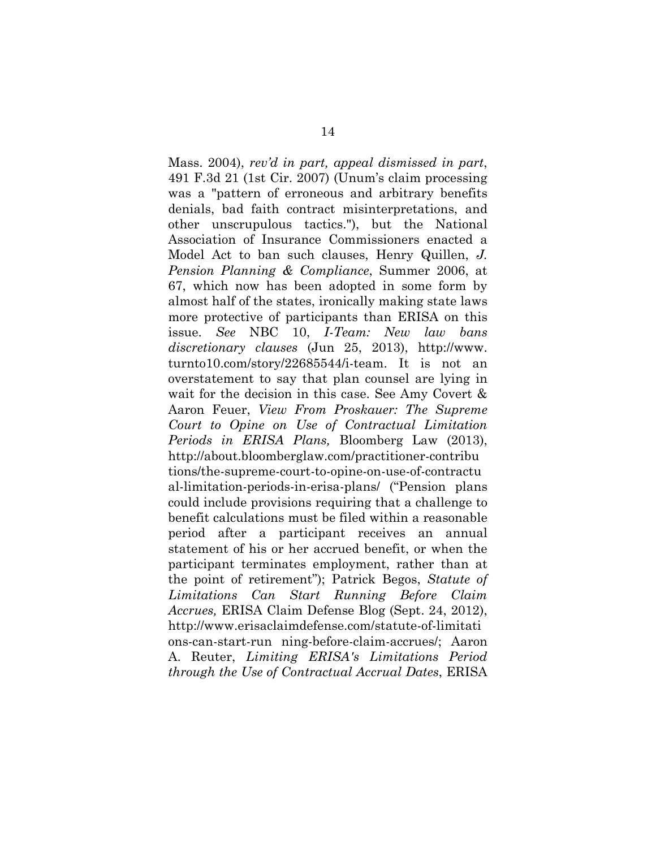Mass. 2004), *rev'd in part, appeal dismissed in part*, 491 F.3d 21 (1st Cir. 2007) (Unum's claim processing was a "pattern of erroneous and arbitrary benefits denials, bad faith contract misinterpretations, and other unscrupulous tactics."), but the National Association of Insurance Commissioners enacted a Model Act to ban such clauses, Henry Quillen, *J. Pension Planning & Compliance*, Summer 2006, at 67, which now has been adopted in some form by almost half of the states, ironically making state laws more protective of participants than ERISA on this issue. *See* NBC 10, *I-Team: New law bans discretionary clauses* (Jun 25, 2013), http://www. turnto10.com/story/22685544/i-team. It is not an overstatement to say that plan counsel are lying in wait for the decision in this case. See Amy Covert & Aaron Feuer, *View From Proskauer: The Supreme Court to Opine on Use of Contractual Limitation Periods in ERISA Plans,* Bloomberg Law (2013), http://about.bloomberglaw.com/practitioner-contribu tions/the-supreme-court-to-opine-on-use-of-contractu al-limitation-periods-in-erisa-plans/ ("Pension plans could include provisions requiring that a challenge to benefit calculations must be filed within a reasonable period after a participant receives an annual statement of his or her accrued benefit, or when the participant terminates employment, rather than at the point of retirement"); Patrick Begos, *Statute of Limitations Can Start Running Before Claim Accrues,* ERISA Claim Defense Blog (Sept. 24, 2012), http://www.erisaclaimdefense.com/statute-of-limitati ons-can-start-run ning-before-claim-accrues/; Aaron A. Reuter, *Limiting ERISA's Limitations Period through the Use of Contractual Accrual Dates*, ERISA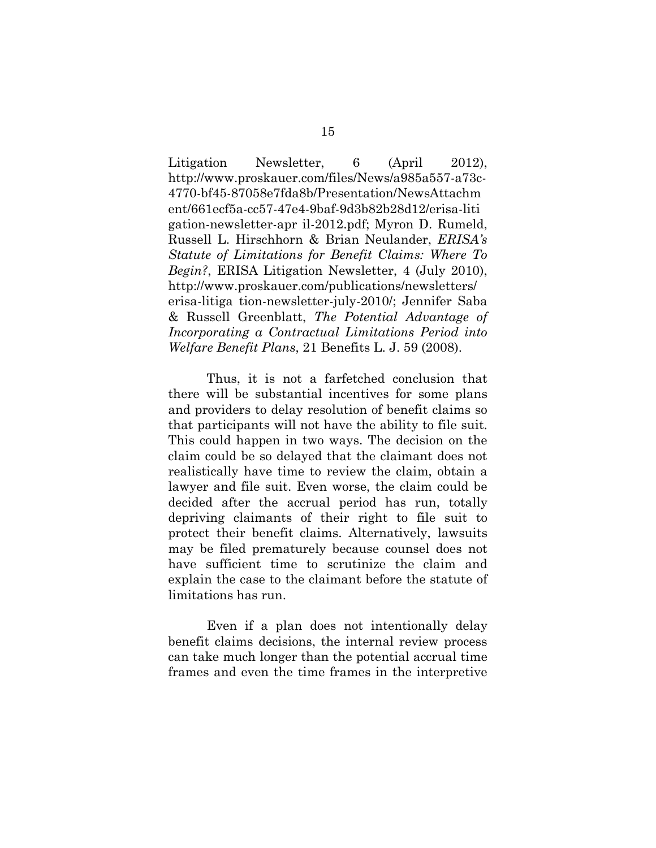Litigation Newsletter, 6 (April 2012), http://www.proskauer.com/files/News/a985a557-a73c-4770-bf45-87058e7fda8b/Presentation/NewsAttachm ent/661ecf5a-cc57-47e4-9baf-9d3b82b28d12/erisa-liti gation-newsletter-apr il-2012.pdf; Myron D. Rumeld, Russell L. Hirschhorn & Brian Neulander, *ERISA's Statute of Limitations for Benefit Claims: Where To Begin?*, ERISA Litigation Newsletter, 4 (July 2010), http://www.proskauer.com/publications/newsletters/ erisa-litiga tion-newsletter-july-2010/; Jennifer Saba & Russell Greenblatt, *The Potential Advantage of Incorporating a Contractual Limitations Period into Welfare Benefit Plans*, 21 Benefits L. J. 59 (2008).

Thus, it is not a farfetched conclusion that there will be substantial incentives for some plans and providers to delay resolution of benefit claims so that participants will not have the ability to file suit. This could happen in two ways. The decision on the claim could be so delayed that the claimant does not realistically have time to review the claim, obtain a lawyer and file suit. Even worse, the claim could be decided after the accrual period has run, totally depriving claimants of their right to file suit to protect their benefit claims. Alternatively, lawsuits may be filed prematurely because counsel does not have sufficient time to scrutinize the claim and explain the case to the claimant before the statute of limitations has run.

Even if a plan does not intentionally delay benefit claims decisions, the internal review process can take much longer than the potential accrual time frames and even the time frames in the interpretive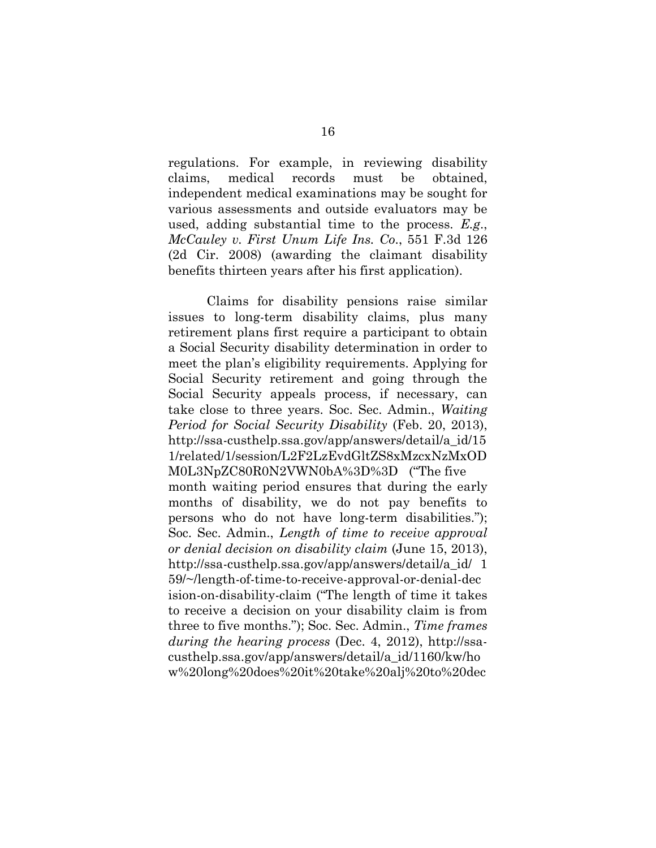regulations. For example, in reviewing disability claims, medical records must be obtained, independent medical examinations may be sought for various assessments and outside evaluators may be used, adding substantial time to the process. *E.g*., *McCauley v. First Unum Life Ins. Co*., 551 F.3d 126 (2d Cir. 2008) (awarding the claimant disability benefits thirteen years after his first application).

Claims for disability pensions raise similar issues to long-term disability claims, plus many retirement plans first require a participant to obtain a Social Security disability determination in order to meet the plan's eligibility requirements. Applying for Social Security retirement and going through the Social Security appeals process, if necessary, can take close to three years. Soc. Sec. Admin., *Waiting Period for Social Security Disability* (Feb. 20, 2013), http://ssa-custhelp.ssa.gov/app/answers/detail/a\_id/15 1/related/1/session/L2F2LzEvdGltZS8xMzcxNzMxOD M0L3NpZC80R0N2VWN0bA%3D%3D ("The five month waiting period ensures that during the early months of disability, we do not pay benefits to persons who do not have long-term disabilities."); Soc. Sec. Admin., *Length of time to receive approval or denial decision on disability claim* (June 15, 2013), http://ssa-custhelp.ssa.gov/app/answers/detail/a\_id/ 1 59/~/length-of-time-to-receive-approval-or-denial-dec ision-on-disability-claim ("The length of time it takes to receive a decision on your disability claim is from three to five months."); Soc. Sec. Admin., *Time frames during the hearing process* (Dec. 4, 2012), http://ssacusthelp.ssa.gov/app/answers/detail/a\_id/1160/kw/ho w%20long%20does%20it%20take%20alj%20to%20dec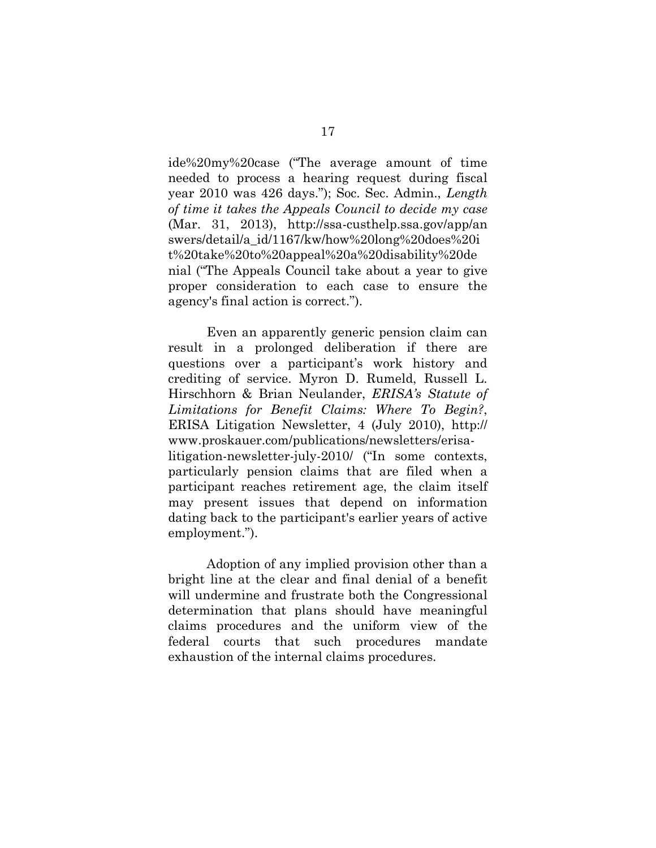ide%20my%20case ("The average amount of time needed to process a hearing request during fiscal year 2010 was 426 days."); Soc. Sec. Admin., *Length of time it takes the Appeals Council to decide my case* (Mar. 31, 2013), http://ssa-custhelp.ssa.gov/app/an swers/detail/a\_id/1167/kw/how%20long%20does%20i t%20take%20to%20appeal%20a%20disability%20de nial ("The Appeals Council take about a year to give proper consideration to each case to ensure the agency's final action is correct.").

Even an apparently generic pension claim can result in a prolonged deliberation if there are questions over a participant's work history and crediting of service. Myron D. Rumeld, Russell L. Hirschhorn & Brian Neulander, *ERISA's Statute of Limitations for Benefit Claims: Where To Begin?*, ERISA Litigation Newsletter, 4 (July 2010), http:// www.proskauer.com/publications/newsletters/erisalitigation-newsletter-july-2010/ ("In some contexts, particularly pension claims that are filed when a participant reaches retirement age, the claim itself may present issues that depend on information dating back to the participant's earlier years of active employment.").

Adoption of any implied provision other than a bright line at the clear and final denial of a benefit will undermine and frustrate both the Congressional determination that plans should have meaningful claims procedures and the uniform view of the federal courts that such procedures mandate exhaustion of the internal claims procedures.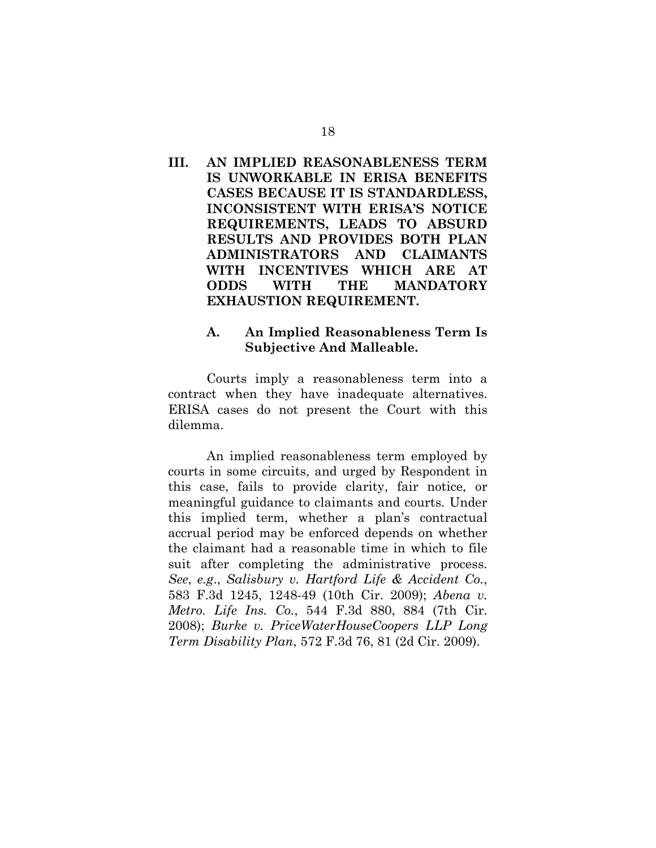## **III. AN IMPLIED REASONABLENESS TERM IS UNWORKABLE IN ERISA BENEFITS CASES BECAUSE IT IS STANDARDLESS, INCONSISTENT WITH ERISA'S NOTICE REQUIREMENTS, LEADS TO ABSURD RESULTS AND PROVIDES BOTH PLAN ADMINISTRATORS AND CLAIMANTS WITH INCENTIVES WHICH ARE AT ODDS WITH THE MANDATORY EXHAUSTION REQUIREMENT.**

### **A. An Implied Reasonableness Term Is Subjective And Malleable.**

Courts imply a reasonableness term into a contract when they have inadequate alternatives. ERISA cases do not present the Court with this dilemma.

An implied reasonableness term employed by courts in some circuits, and urged by Respondent in this case, fails to provide clarity, fair notice, or meaningful guidance to claimants and courts. Under this implied term, whether a plan's contractual accrual period may be enforced depends on whether the claimant had a reasonable time in which to file suit after completing the administrative process. *See*, *e.g*., *Salisbury v. Hartford Life & Accident Co.*, 583 F.3d 1245, 1248-49 (10th Cir. 2009); *Abena v. Metro. Life Ins. Co.*, 544 F.3d 880, 884 (7th Cir. 2008); *Burke v. PriceWaterHouseCoopers LLP Long Term Disability Plan*, 572 F.3d 76, 81 (2d Cir. 2009).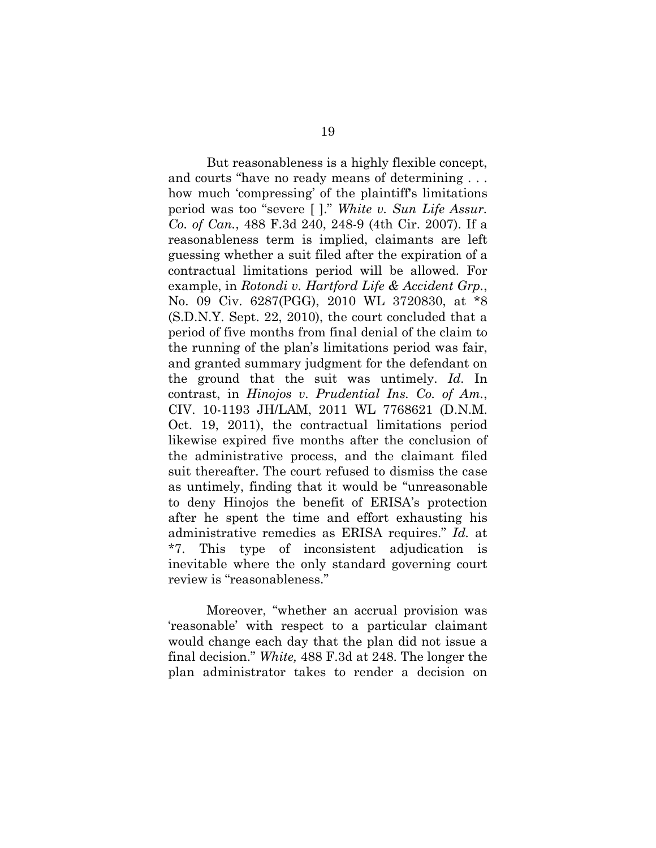But reasonableness is a highly flexible concept, and courts "have no ready means of determining . . . how much 'compressing' of the plaintiff's limitations period was too "severe [ ]." *White v. Sun Life Assur. Co. of Can.*, 488 F.3d 240, 248-9 (4th Cir. 2007). If a reasonableness term is implied, claimants are left guessing whether a suit filed after the expiration of a contractual limitations period will be allowed. For example, in *Rotondi v. Hartford Life & Accident Grp.*, No. 09 Civ. 6287(PGG), 2010 WL 3720830, at \*8 (S.D.N.Y. Sept. 22, 2010), the court concluded that a period of five months from final denial of the claim to the running of the plan's limitations period was fair, and granted summary judgment for the defendant on the ground that the suit was untimely. *Id.* In contrast, in *Hinojos v. Prudential Ins. Co. of Am.*, CIV. 10-1193 JH/LAM, 2011 WL 7768621 (D.N.M. Oct. 19, 2011), the contractual limitations period likewise expired five months after the conclusion of the administrative process, and the claimant filed suit thereafter. The court refused to dismiss the case as untimely, finding that it would be "unreasonable to deny Hinojos the benefit of ERISA's protection after he spent the time and effort exhausting his administrative remedies as ERISA requires." *Id.* at \*7. This type of inconsistent adjudication is inevitable where the only standard governing court review is "reasonableness."

Moreover, "whether an accrual provision was 'reasonable' with respect to a particular claimant would change each day that the plan did not issue a final decision." *White,* 488 F.3d at 248. The longer the plan administrator takes to render a decision on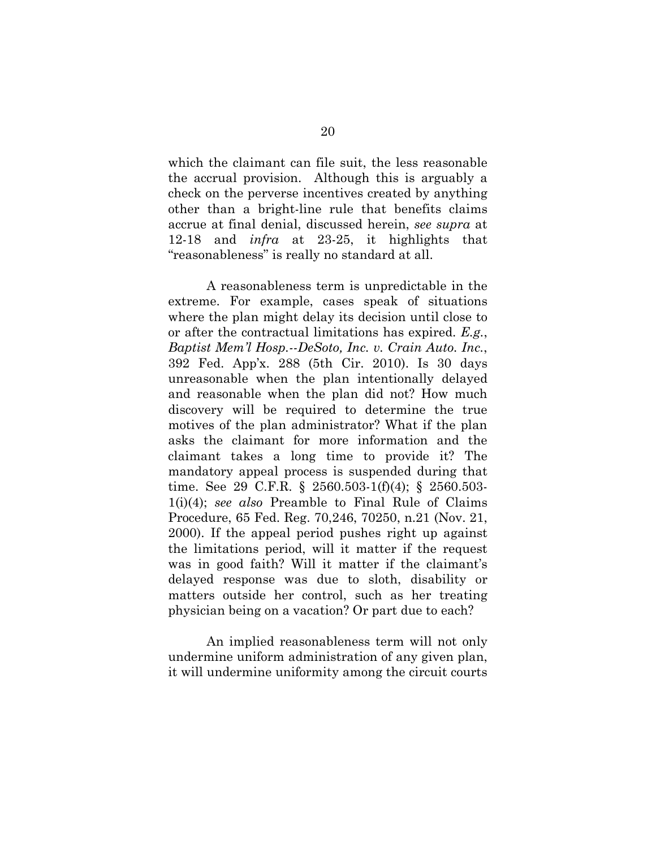which the claimant can file suit, the less reasonable the accrual provision. Although this is arguably a check on the perverse incentives created by anything other than a bright-line rule that benefits claims accrue at final denial, discussed herein, *see supra* at 12-18 and *infra* at 23-25, it highlights that "reasonableness" is really no standard at all.

A reasonableness term is unpredictable in the extreme. For example, cases speak of situations where the plan might delay its decision until close to or after the contractual limitations has expired. *E.g.*, *Baptist Mem'l Hosp.--DeSoto, Inc. v. Crain Auto. Inc.*, 392 Fed. App'x. 288 (5th Cir. 2010). Is 30 days unreasonable when the plan intentionally delayed and reasonable when the plan did not? How much discovery will be required to determine the true motives of the plan administrator? What if the plan asks the claimant for more information and the claimant takes a long time to provide it? The mandatory appeal process is suspended during that time. See 29 C.F.R. § 2560.503-1(f)(4); § 2560.503- 1(i)(4); *see also* Preamble to Final Rule of Claims Procedure, 65 Fed. Reg. 70,246, 70250, n.21 (Nov. 21, 2000). If the appeal period pushes right up against the limitations period, will it matter if the request was in good faith? Will it matter if the claimant's delayed response was due to sloth, disability or matters outside her control, such as her treating physician being on a vacation? Or part due to each?

An implied reasonableness term will not only undermine uniform administration of any given plan, it will undermine uniformity among the circuit courts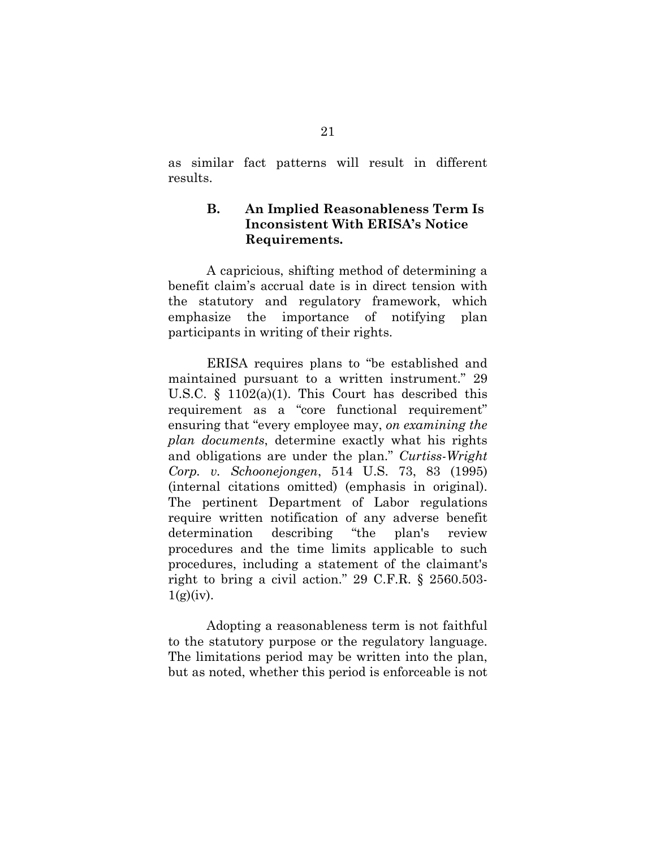as similar fact patterns will result in different results.

## **B. An Implied Reasonableness Term Is Inconsistent With ERISA's Notice Requirements.**

A capricious, shifting method of determining a benefit claim's accrual date is in direct tension with the statutory and regulatory framework, which emphasize the importance of notifying plan participants in writing of their rights.

ERISA requires plans to "be established and maintained pursuant to a written instrument." 29 U.S.C.  $\S$  1102(a)(1). This Court has described this requirement as a "core functional requirement" ensuring that "every employee may, *on examining the plan documents*, determine exactly what his rights and obligations are under the plan." *Curtiss-Wright Corp. v. Schoonejongen*, 514 U.S. 73, 83 (1995) (internal citations omitted) (emphasis in original). The pertinent Department of Labor regulations require written notification of any adverse benefit determination describing "the plan's review procedures and the time limits applicable to such procedures, including a statement of the claimant's right to bring a civil action." 29 C.F.R. § 2560.503-  $1(g)(iv)$ .

Adopting a reasonableness term is not faithful to the statutory purpose or the regulatory language. The limitations period may be written into the plan, but as noted, whether this period is enforceable is not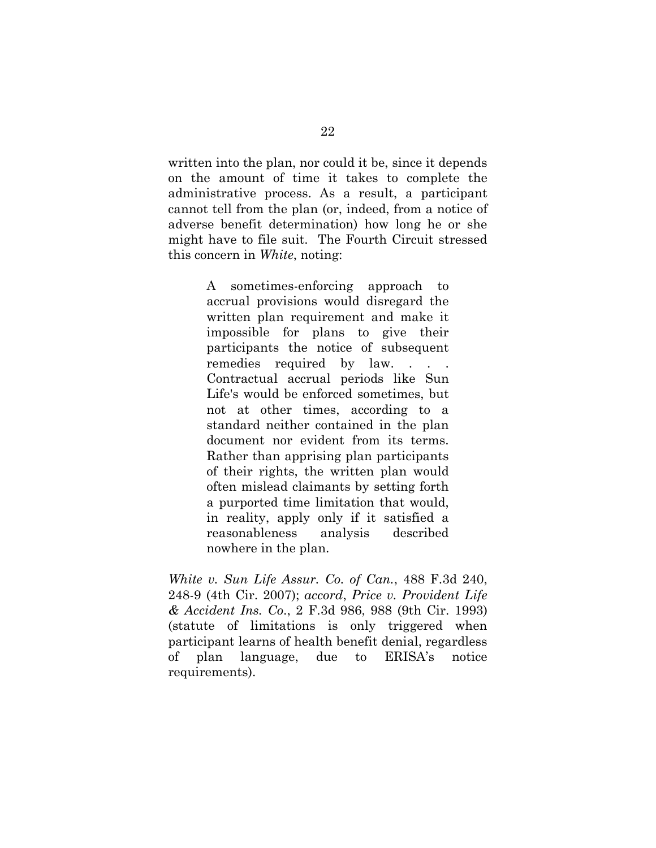written into the plan, nor could it be, since it depends on the amount of time it takes to complete the administrative process. As a result, a participant cannot tell from the plan (or, indeed, from a notice of adverse benefit determination) how long he or she might have to file suit. The Fourth Circuit stressed this concern in *White*, noting:

> A sometimes-enforcing approach to accrual provisions would disregard the written plan requirement and make it impossible for plans to give their participants the notice of subsequent remedies required by law. . . . Contractual accrual periods like Sun Life's would be enforced sometimes, but not at other times, according to a standard neither contained in the plan document nor evident from its terms. Rather than apprising plan participants of their rights, the written plan would often mislead claimants by setting forth a purported time limitation that would, in reality, apply only if it satisfied a reasonableness analysis described nowhere in the plan.

*White v. Sun Life Assur. Co. of Can.*, 488 F.3d 240, 248-9 (4th Cir. 2007); *accord*, *Price v. Provident Life & Accident Ins. Co*., 2 F.3d 986, 988 (9th Cir. 1993) (statute of limitations is only triggered when participant learns of health benefit denial, regardless of plan language, due to ERISA's notice requirements).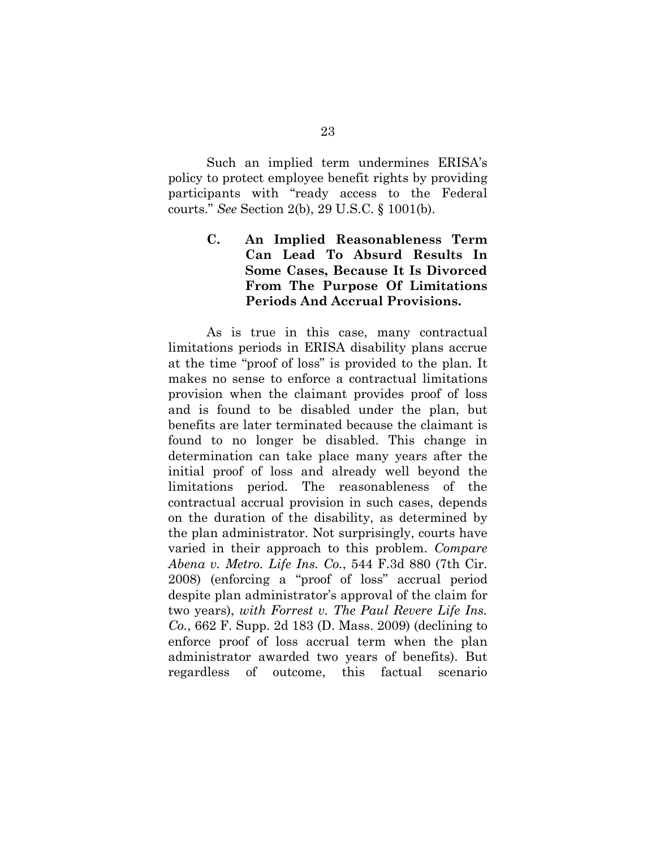Such an implied term undermines ERISA's policy to protect employee benefit rights by providing participants with "ready access to the Federal courts." *See* Section 2(b), 29 U.S.C. § 1001(b).

> **C. An Implied Reasonableness Term Can Lead To Absurd Results In Some Cases, Because It Is Divorced From The Purpose Of Limitations Periods And Accrual Provisions.**

As is true in this case, many contractual limitations periods in ERISA disability plans accrue at the time "proof of loss" is provided to the plan. It makes no sense to enforce a contractual limitations provision when the claimant provides proof of loss and is found to be disabled under the plan, but benefits are later terminated because the claimant is found to no longer be disabled. This change in determination can take place many years after the initial proof of loss and already well beyond the limitations period. The reasonableness of the contractual accrual provision in such cases, depends on the duration of the disability, as determined by the plan administrator. Not surprisingly, courts have varied in their approach to this problem. *Compare Abena v. Metro. Life Ins. Co.*, 544 F.3d 880 (7th Cir. 2008) (enforcing a "proof of loss" accrual period despite plan administrator's approval of the claim for two years), *with Forrest v. The Paul Revere Life Ins. Co.*, 662 F. Supp. 2d 183 (D. Mass. 2009) (declining to enforce proof of loss accrual term when the plan administrator awarded two years of benefits). But regardless of outcome, this factual scenario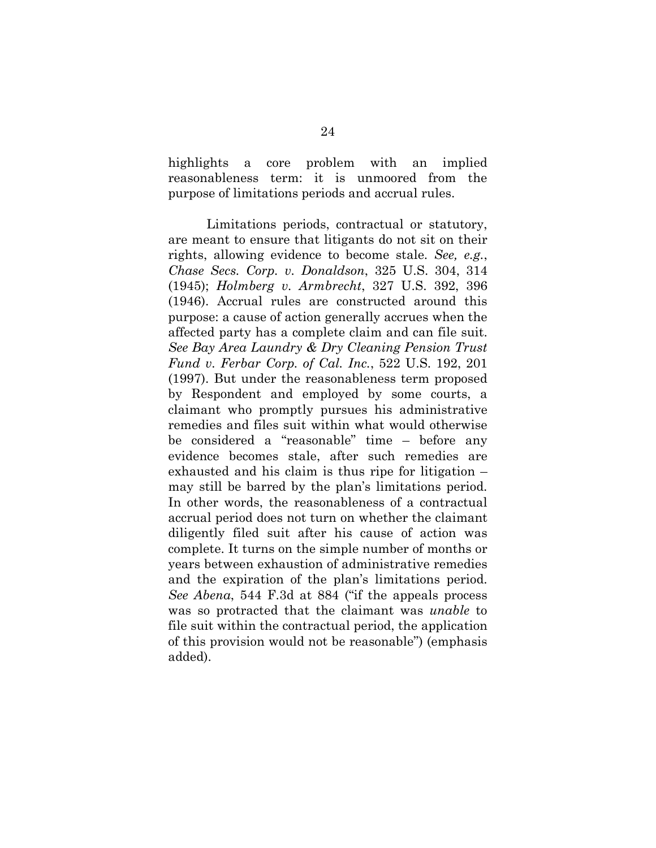highlights a core problem with an implied reasonableness term: it is unmoored from the purpose of limitations periods and accrual rules.

Limitations periods, contractual or statutory, are meant to ensure that litigants do not sit on their rights, allowing evidence to become stale. *See, e.g.*, *Chase Secs. Corp. v. Donaldson*, 325 U.S. 304, 314 (1945); *Holmberg v. Armbrecht*, 327 U.S. 392, 396 (1946). Accrual rules are constructed around this purpose: a cause of action generally accrues when the affected party has a complete claim and can file suit. *See Bay Area Laundry & Dry Cleaning Pension Trust Fund v. Ferbar Corp. of Cal. Inc.*, 522 U.S. 192, 201 (1997). But under the reasonableness term proposed by Respondent and employed by some courts, a claimant who promptly pursues his administrative remedies and files suit within what would otherwise be considered a "reasonable" time – before any evidence becomes stale, after such remedies are exhausted and his claim is thus ripe for litigation – may still be barred by the plan's limitations period. In other words, the reasonableness of a contractual accrual period does not turn on whether the claimant diligently filed suit after his cause of action was complete. It turns on the simple number of months or years between exhaustion of administrative remedies and the expiration of the plan's limitations period. *See Abena*, 544 F.3d at 884 ("if the appeals process was so protracted that the claimant was *unable* to file suit within the contractual period, the application of this provision would not be reasonable") (emphasis added).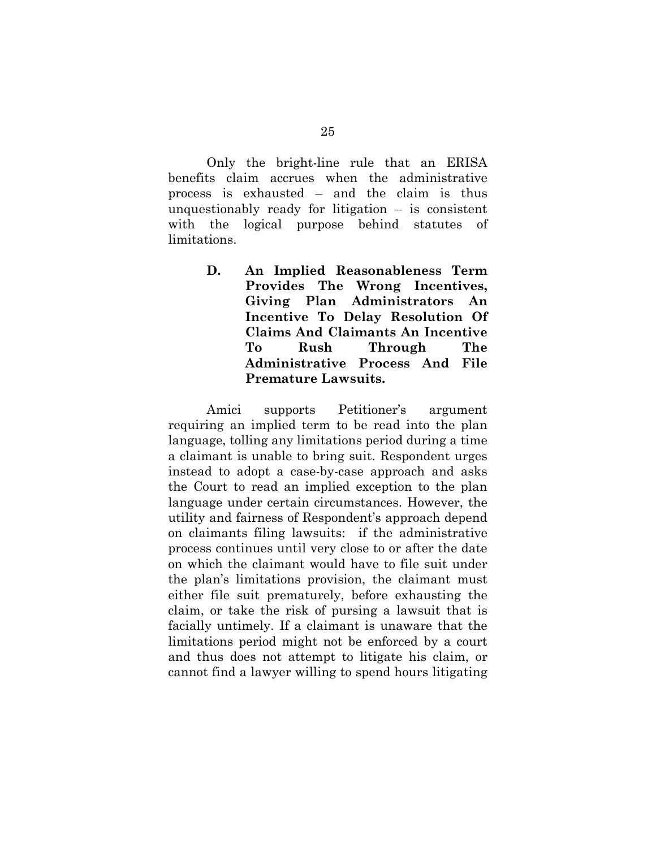Only the bright-line rule that an ERISA benefits claim accrues when the administrative process is exhausted – and the claim is thus unquestionably ready for litigation  $-$  is consistent with the logical purpose behind statutes of limitations.

> **D. An Implied Reasonableness Term Provides The Wrong Incentives, Giving Plan Administrators An Incentive To Delay Resolution Of Claims And Claimants An Incentive To Rush Through The Administrative Process And File Premature Lawsuits.**

Amici supports Petitioner's argument requiring an implied term to be read into the plan language, tolling any limitations period during a time a claimant is unable to bring suit. Respondent urges instead to adopt a case-by-case approach and asks the Court to read an implied exception to the plan language under certain circumstances. However, the utility and fairness of Respondent's approach depend on claimants filing lawsuits: if the administrative process continues until very close to or after the date on which the claimant would have to file suit under the plan's limitations provision, the claimant must either file suit prematurely, before exhausting the claim, or take the risk of pursing a lawsuit that is facially untimely. If a claimant is unaware that the limitations period might not be enforced by a court and thus does not attempt to litigate his claim, or cannot find a lawyer willing to spend hours litigating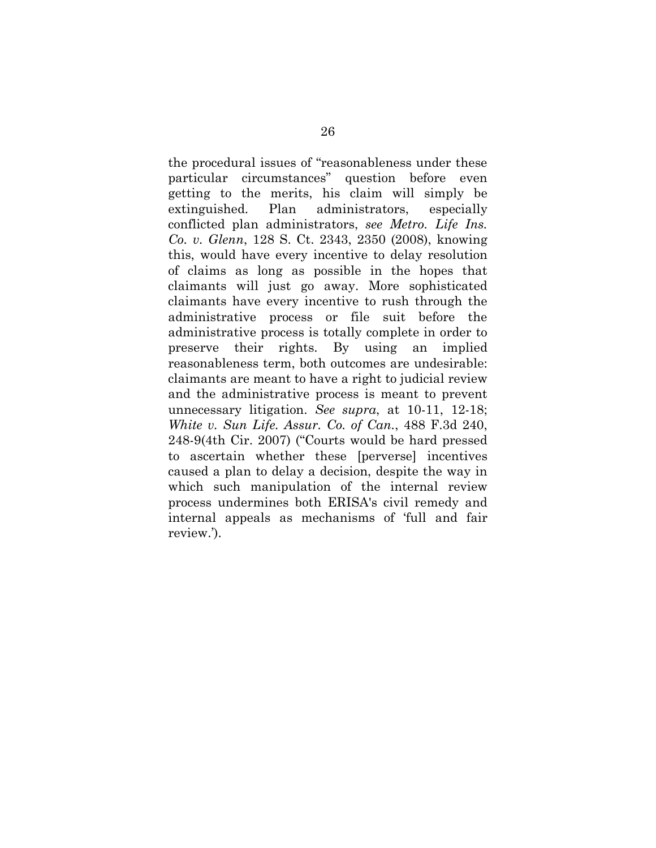the procedural issues of "reasonableness under these particular circumstances" question before even getting to the merits, his claim will simply be extinguished. Plan administrators, especially conflicted plan administrators, *see Metro. Life Ins. Co. v. Glenn*, 128 S. Ct. 2343, 2350 (2008), knowing this, would have every incentive to delay resolution of claims as long as possible in the hopes that claimants will just go away. More sophisticated claimants have every incentive to rush through the administrative process or file suit before the administrative process is totally complete in order to preserve their rights. By using an implied reasonableness term, both outcomes are undesirable: claimants are meant to have a right to judicial review and the administrative process is meant to prevent unnecessary litigation. *See supra*, at 10-11, 12-18; *White v. Sun Life. Assur. Co. of Can.*, 488 F.3d 240, 248-9(4th Cir. 2007) ("Courts would be hard pressed to ascertain whether these [perverse] incentives caused a plan to delay a decision, despite the way in which such manipulation of the internal review process undermines both ERISA's civil remedy and internal appeals as mechanisms of 'full and fair review.').